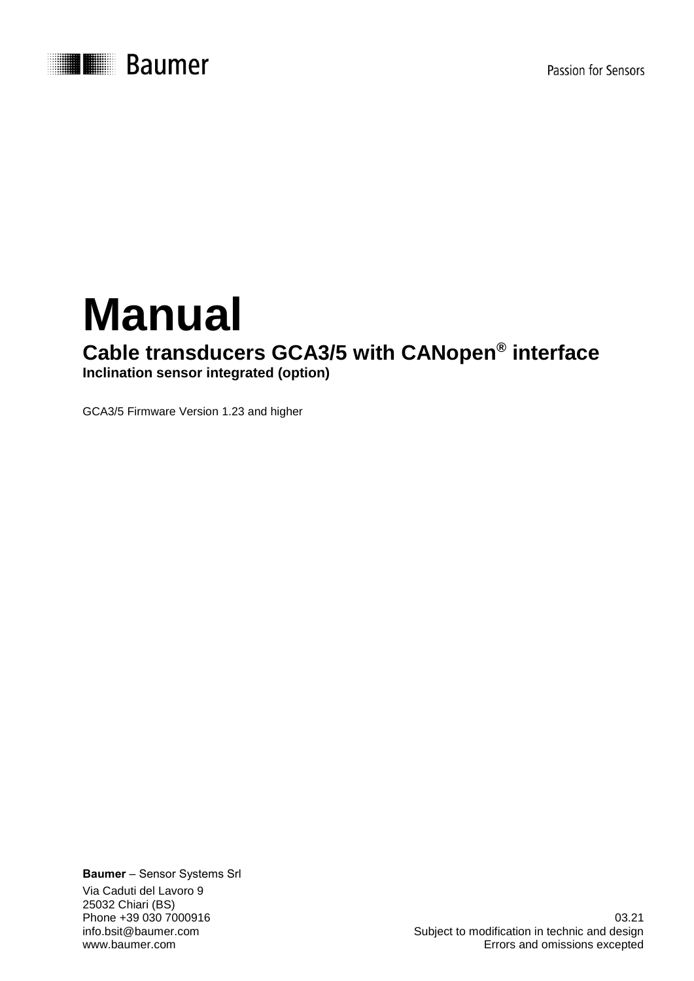

# **Manual Cable transducers GCA3/5 with CANopen® interface Inclination sensor integrated (option)**

GCA3/5 Firmware Version 1.23 and higher

**Baumer** – Sensor Systems Srl Via Caduti del Lavoro 9 25032 Chiari (BS)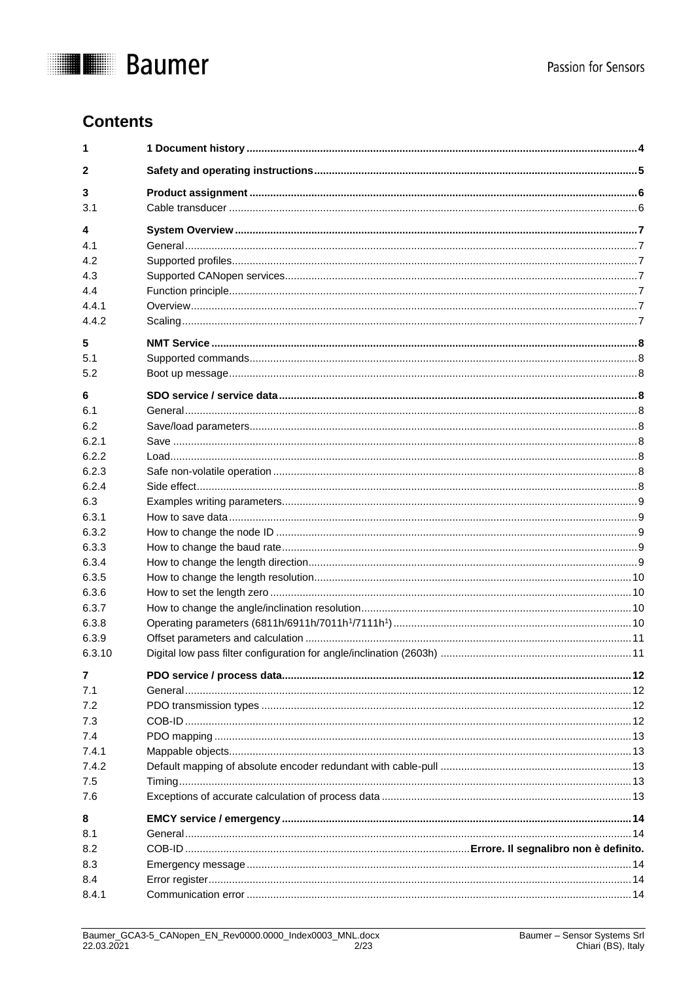

# **Contents**

| 1      |  |
|--------|--|
| 2      |  |
| 3      |  |
| 3.1    |  |
| 4      |  |
| 4.1    |  |
| 4.2    |  |
| 4.3    |  |
| 4.4    |  |
| 4.4.1  |  |
| 4.4.2  |  |
| 5      |  |
| 5.1    |  |
| 5.2    |  |
| 6      |  |
| 6.1    |  |
| 6.2    |  |
| 6.2.1  |  |
| 6.2.2  |  |
| 6.2.3  |  |
| 6.2.4  |  |
| 6.3    |  |
| 6.3.1  |  |
| 6.3.2  |  |
| 6.3.3  |  |
| 6.3.4  |  |
| 6.3.5  |  |
| 6.3.6  |  |
| 6.3.7  |  |
| 6.3.8  |  |
| 6.3.9  |  |
| 6.3.10 |  |
| 7      |  |
| 7.1    |  |
| 7.2    |  |
| 7.3    |  |
| 7.4    |  |
| 7.4.1  |  |
| 7.4.2  |  |
| 7.5    |  |
| 7.6    |  |
| 8      |  |
| 8.1    |  |
| 8.2    |  |
| 8.3    |  |
| 8.4    |  |
| 8.4.1  |  |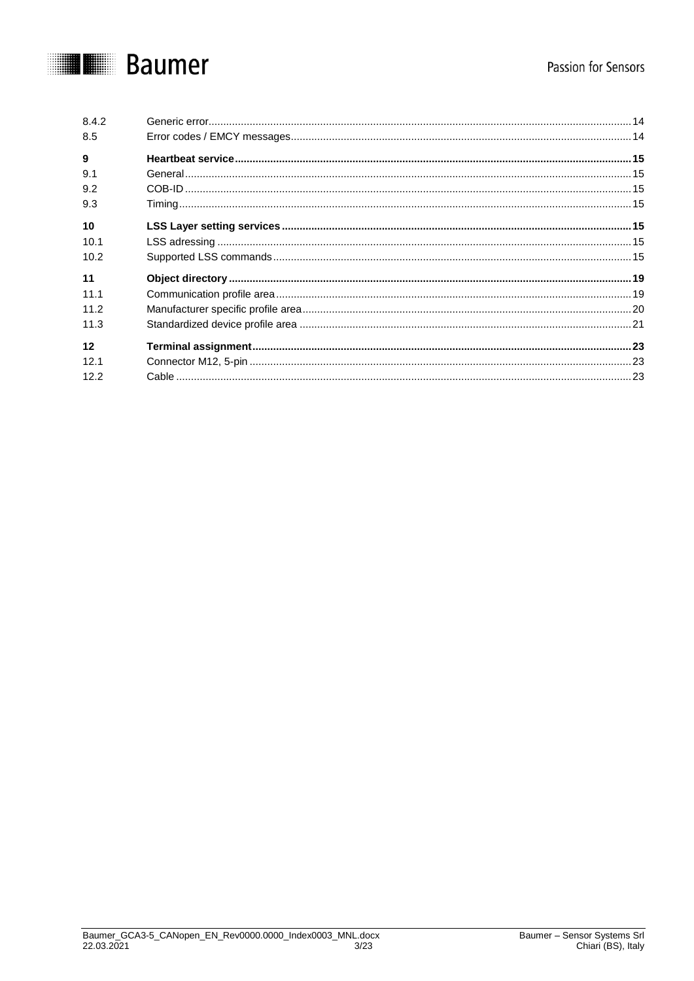# Passion for Sensors

# **THE Baumer**

| 8.4.2 |  |
|-------|--|
| 8.5   |  |
| 9     |  |
| 9.1   |  |
| 9.2   |  |
| 9.3   |  |
| 10    |  |
| 10.1  |  |
| 10.2  |  |
| 11    |  |
| 11.1  |  |
| 11.2  |  |
| 11.3  |  |
| 12    |  |
| 12.1  |  |
| 12.2  |  |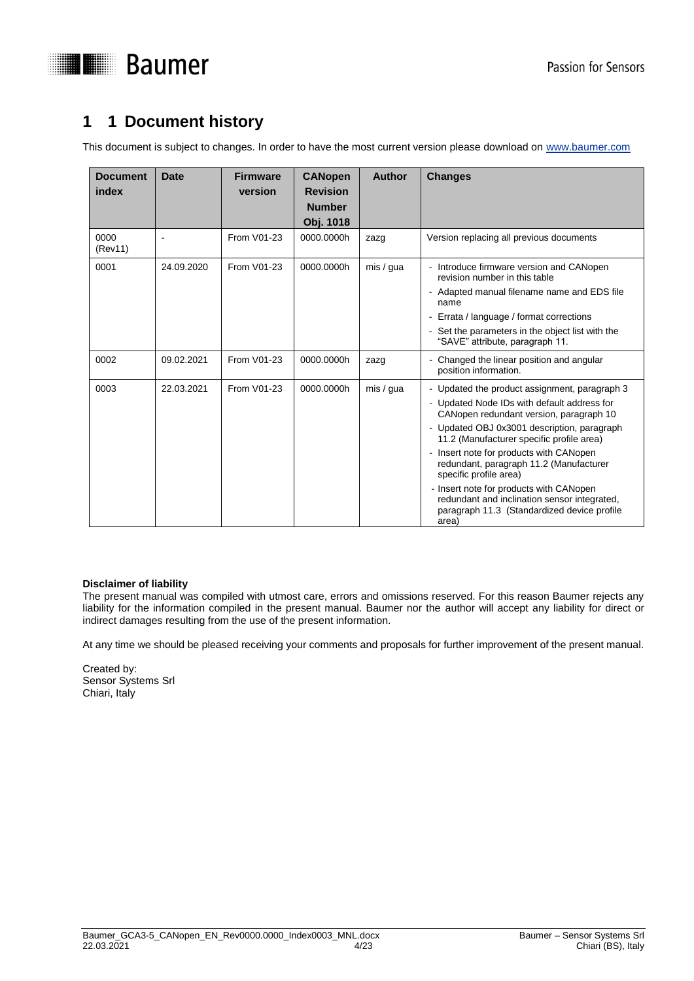

# <span id="page-3-0"></span>**1 1 Document history**

This document is subject to changes. In order to have the most current version please download on [www.baumer.com](http://www.baumer.com/)

| <b>Document</b><br>index | <b>Date</b> | <b>Firmware</b><br>version | <b>CANopen</b><br><b>Revision</b><br><b>Number</b><br>Obj. 1018 | <b>Author</b> | <b>Changes</b>                                                                                                                                                                                                                                                                                                                                                                                                                                                                                         |
|--------------------------|-------------|----------------------------|-----------------------------------------------------------------|---------------|--------------------------------------------------------------------------------------------------------------------------------------------------------------------------------------------------------------------------------------------------------------------------------------------------------------------------------------------------------------------------------------------------------------------------------------------------------------------------------------------------------|
| 0000<br>(Rev11)          |             | From V01-23                | 0000.0000h                                                      | zazg          | Version replacing all previous documents                                                                                                                                                                                                                                                                                                                                                                                                                                                               |
| 0001                     | 24.09.2020  | From V01-23                | 0000.0000h                                                      | mis / gua     | - Introduce firmware version and CANopen<br>revision number in this table<br>- Adapted manual filename name and EDS file<br>name<br>- Errata / language / format corrections<br>- Set the parameters in the object list with the<br>"SAVE" attribute, paragraph 11.                                                                                                                                                                                                                                    |
| 0002                     | 09.02.2021  | From V01-23                | 0000.0000h                                                      | zazg          | - Changed the linear position and angular<br>position information.                                                                                                                                                                                                                                                                                                                                                                                                                                     |
| 0003                     | 22.03.2021  | From V01-23                | 0000.0000h                                                      | mis / qua     | - Updated the product assignment, paragraph 3<br>- Updated Node IDs with default address for<br>CANopen redundant version, paragraph 10<br>- Updated OBJ 0x3001 description, paragraph<br>11.2 (Manufacturer specific profile area)<br>- Insert note for products with CANopen<br>redundant, paragraph 11.2 (Manufacturer<br>specific profile area)<br>- Insert note for products with CANopen<br>redundant and inclination sensor integrated,<br>paragraph 11.3 (Standardized device profile<br>area) |

#### **Disclaimer of liability**

The present manual was compiled with utmost care, errors and omissions reserved. For this reason Baumer rejects any liability for the information compiled in the present manual. Baumer nor the author will accept any liability for direct or indirect damages resulting from the use of the present information.

At any time we should be pleased receiving your comments and proposals for further improvement of the present manual.

Created by: Sensor Systems Srl Chiari, Italy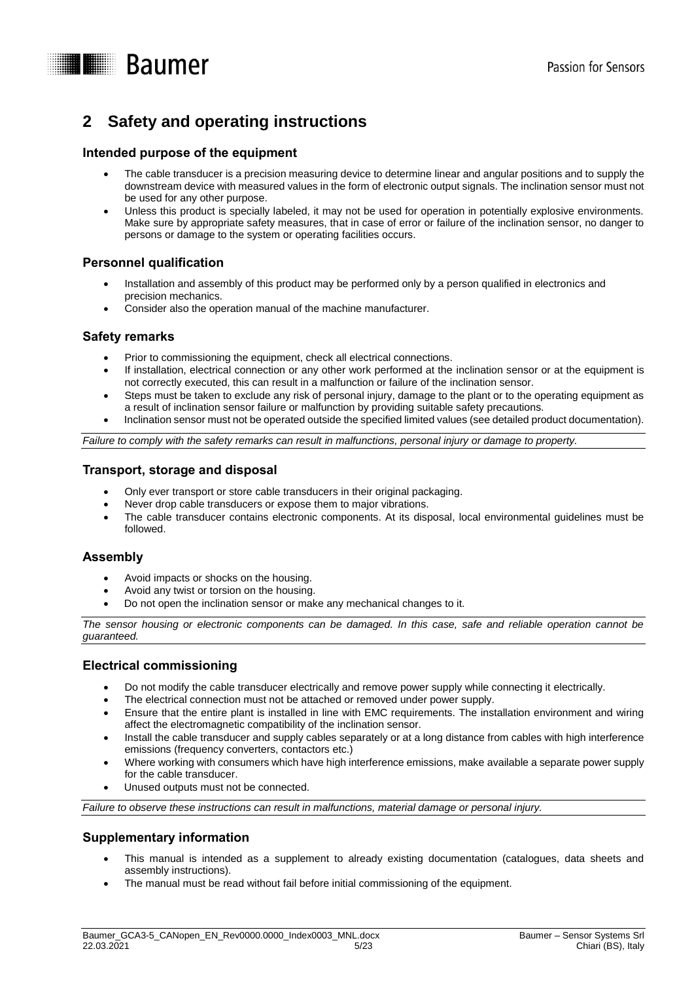

# <span id="page-4-0"></span>**2 Safety and operating instructions**

### **Intended purpose of the equipment**

- The cable transducer is a precision measuring device to determine linear and angular positions and to supply the downstream device with measured values in the form of electronic output signals. The inclination sensor must not be used for any other purpose.
- Unless this product is specially labeled, it may not be used for operation in potentially explosive environments. Make sure by appropriate safety measures, that in case of error or failure of the inclination sensor, no danger to persons or damage to the system or operating facilities occurs.

### **Personnel qualification**

- Installation and assembly of this product may be performed only by a person qualified in electronics and precision mechanics.
- Consider also the operation manual of the machine manufacturer.

### **Safety remarks**

- Prior to commissioning the equipment, check all electrical connections.
- If installation, electrical connection or any other work performed at the inclination sensor or at the equipment is not correctly executed, this can result in a malfunction or failure of the inclination sensor.
- Steps must be taken to exclude any risk of personal injury, damage to the plant or to the operating equipment as a result of inclination sensor failure or malfunction by providing suitable safety precautions.
- Inclination sensor must not be operated outside the specified limited values (see detailed product documentation).

*Failure to comply with the safety remarks can result in malfunctions, personal injury or damage to property.*

#### **Transport, storage and disposal**

- Only ever transport or store cable transducers in their original packaging.
- Never drop cable transducers or expose them to major vibrations.
- The cable transducer contains electronic components. At its disposal, local environmental guidelines must be followed.

# **Assembly**

- Avoid impacts or shocks on the housing.
- Avoid any twist or torsion on the housing.
- Do not open the inclination sensor or make any mechanical changes to it.

*The sensor housing or electronic components can be damaged. In this case, safe and reliable operation cannot be guaranteed.*

# **Electrical commissioning**

- Do not modify the cable transducer electrically and remove power supply while connecting it electrically.
- The electrical connection must not be attached or removed under power supply.
- Ensure that the entire plant is installed in line with EMC requirements. The installation environment and wiring affect the electromagnetic compatibility of the inclination sensor.
- Install the cable transducer and supply cables separately or at a long distance from cables with high interference emissions (frequency converters, contactors etc.)
- Where working with consumers which have high interference emissions, make available a separate power supply for the cable transducer.
- Unused outputs must not be connected.

*Failure to observe these instructions can result in malfunctions, material damage or personal injury.*

# **Supplementary information**

- This manual is intended as a supplement to already existing documentation (catalogues, data sheets and assembly instructions).
- The manual must be read without fail before initial commissioning of the equipment.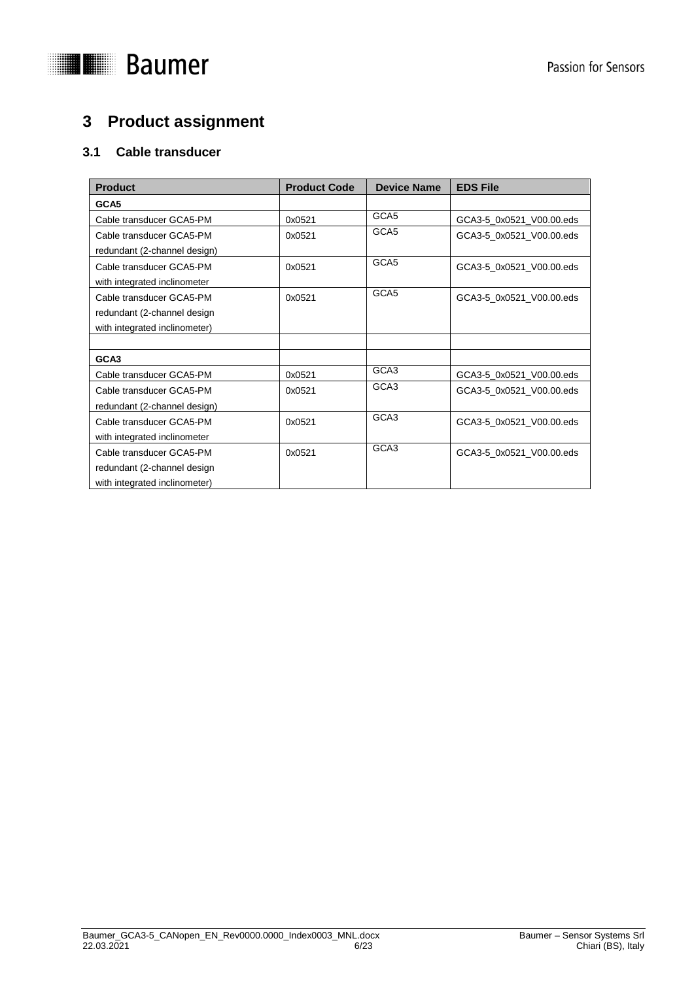

# <span id="page-5-0"></span>**3 Product assignment**

# <span id="page-5-1"></span>**3.1 Cable transducer**

| <b>Product</b>                | <b>Product Code</b> | <b>Device Name</b> | <b>EDS File</b>          |
|-------------------------------|---------------------|--------------------|--------------------------|
| GCA5                          |                     |                    |                          |
| Cable transducer GCA5-PM      | 0x0521              | GCA <sub>5</sub>   | GCA3-5_0x0521_V00.00.eds |
| Cable transducer GCA5-PM      | 0x0521              | GCA5               | GCA3-5 0x0521 V00.00.eds |
| redundant (2-channel design)  |                     |                    |                          |
| Cable transducer GCA5-PM      | 0x0521              | GCA <sub>5</sub>   | GCA3-5 0x0521 V00.00.eds |
| with integrated inclinometer  |                     |                    |                          |
| Cable transducer GCA5-PM      | 0x0521              | GCA <sub>5</sub>   | GCA3-5_0x0521_V00.00.eds |
| redundant (2-channel design   |                     |                    |                          |
| with integrated inclinometer) |                     |                    |                          |
|                               |                     |                    |                          |
| GCA3                          |                     |                    |                          |
| Cable transducer GCA5-PM      | 0x0521              | GCA <sub>3</sub>   | GCA3-5_0x0521_V00.00.eds |
| Cable transducer GCA5-PM      | 0x0521              | GCA3               | GCA3-5_0x0521_V00.00.eds |
| redundant (2-channel design)  |                     |                    |                          |
| Cable transducer GCA5-PM      | 0x0521              | GCA3               | GCA3-5 0x0521 V00.00.eds |
| with integrated inclinometer  |                     |                    |                          |
| Cable transducer GCA5-PM      | 0x0521              | GCA3               | GCA3-5 0x0521 V00.00.eds |
| redundant (2-channel design   |                     |                    |                          |
| with integrated inclinometer) |                     |                    |                          |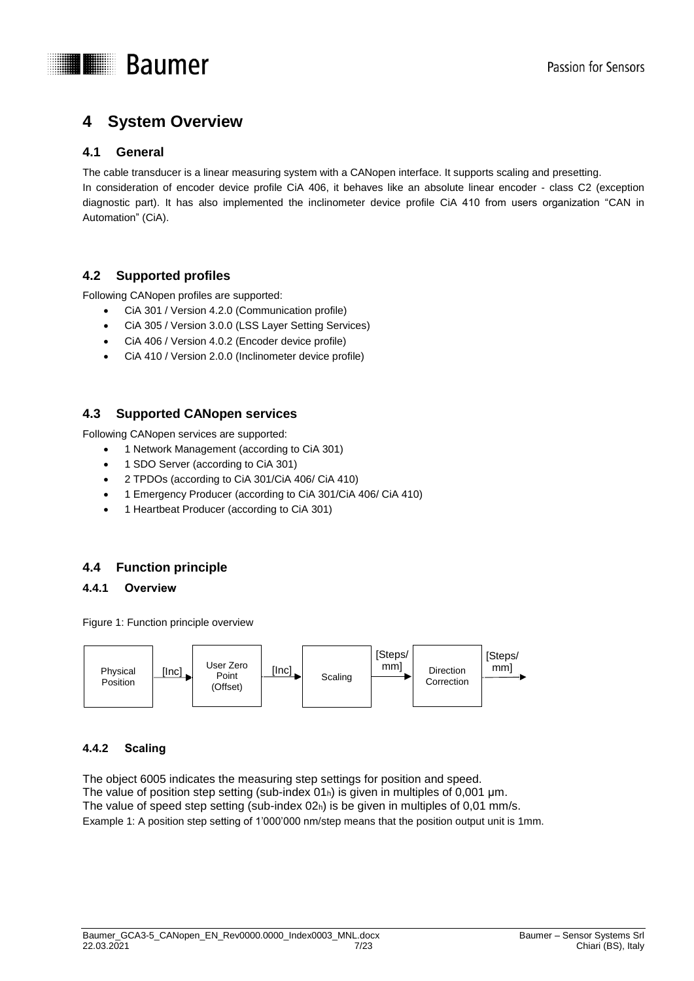



# <span id="page-6-0"></span>**4 System Overview**

# <span id="page-6-1"></span>**4.1 General**

The cable transducer is a linear measuring system with a CANopen interface. It supports scaling and presetting. In consideration of encoder device profile CiA 406, it behaves like an absolute linear encoder - class C2 (exception diagnostic part). It has also implemented the inclinometer device profile CiA 410 from users organization "CAN in Automation" (CiA).

# <span id="page-6-2"></span>**4.2 Supported profiles**

Following CANopen profiles are supported:

- CiA 301 / Version 4.2.0 (Communication profile)
- CiA 305 / Version 3.0.0 (LSS Layer Setting Services)
- CiA 406 / Version 4.0.2 (Encoder device profile)
- CiA 410 / Version 2.0.0 (Inclinometer device profile)

# <span id="page-6-3"></span>**4.3 Supported CANopen services**

Following CANopen services are supported:

- 1 Network Management (according to CiA 301)
- 1 SDO Server (according to CiA 301)
- 2 TPDOs (according to CiA 301/CiA 406/ CiA 410)
- 1 Emergency Producer (according to CiA 301/CiA 406/ CiA 410)
- 1 Heartbeat Producer (according to CiA 301)

# <span id="page-6-4"></span>**4.4 Function principle**

#### <span id="page-6-5"></span>**4.4.1 Overview**

Figure 1: Function principle overview



# <span id="page-6-6"></span>**4.4.2 Scaling**

The object 6005 indicates the measuring step settings for position and speed. The value of position step setting (sub-index 01h) is given in multiples of 0,001 μm. The value of speed step setting (sub-index 02h) is be given in multiples of 0,01 mm/s. Example 1: A position step setting of 1'000'000 nm/step means that the position output unit is 1mm.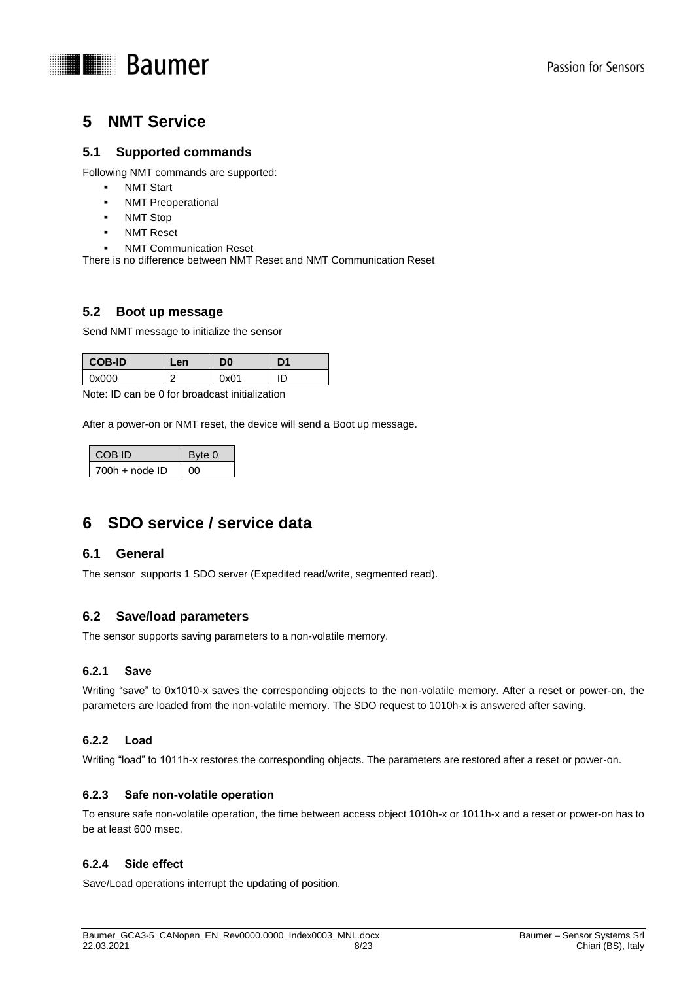

# <span id="page-7-0"></span>**5 NMT Service**

# <span id="page-7-1"></span>**5.1 Supported commands**

Following NMT commands are supported:

- **NMT Start**
- NMT Preoperational
- NMT Stop
- NMT Reset
- NMT Communication Reset

There is no difference between NMT Reset and NMT Communication Reset

# <span id="page-7-2"></span>**5.2 Boot up message**

Send NMT message to initialize the sensor

| <b>COB-ID</b> | Len | D0   | D1 |
|---------------|-----|------|----|
| 0x000         | ╭   | ງx01 | ID |

Note: ID can be 0 for broadcast initialization

After a power-on or NMT reset, the device will send a Boot up message.

| COB ID           | Byte 0 |
|------------------|--------|
| $700h + node$ ID | ററ     |

# <span id="page-7-3"></span>**6 SDO service / service data**

#### <span id="page-7-4"></span>**6.1 General**

The sensor supports 1 SDO server (Expedited read/write, segmented read).

# <span id="page-7-5"></span>**6.2 Save/load parameters**

The sensor supports saving parameters to a non-volatile memory.

#### <span id="page-7-6"></span>**6.2.1 Save**

Writing "save" to 0x1010-x saves the corresponding objects to the non-volatile memory. After a reset or power-on, the parameters are loaded from the non-volatile memory. The SDO request to 1010h-x is answered after saving.

#### <span id="page-7-7"></span>**6.2.2 Load**

Writing "load" to 1011h-x restores the corresponding objects. The parameters are restored after a reset or power-on.

#### <span id="page-7-8"></span>**6.2.3 Safe non-volatile operation**

To ensure safe non-volatile operation, the time between access object 1010h-x or 1011h-x and a reset or power-on has to be at least 600 msec.

#### <span id="page-7-9"></span>**6.2.4 Side effect**

Save/Load operations interrupt the updating of position.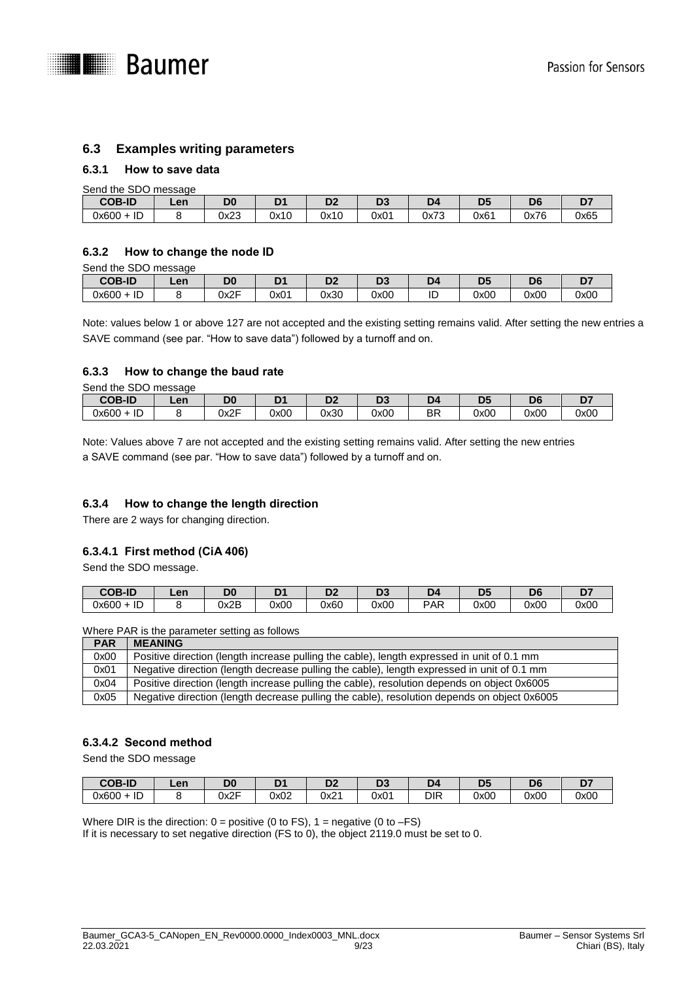

### <span id="page-8-0"></span>**6.3 Examples writing parameters**

#### <span id="page-8-1"></span>**6.3.1 How to save data**

|               | Send the SDO message |      |      |                     |      |      |                |      |      |  |  |  |  |  |
|---------------|----------------------|------|------|---------------------|------|------|----------------|------|------|--|--|--|--|--|
| <b>COB-ID</b> | Len                  | D0   | D1   | n <sub>2</sub><br>ש | n.   | D4   | D <sub>5</sub> | D6   |      |  |  |  |  |  |
| $0x600 + ID$  |                      | 0x23 | 0x10 | 0x10                | 0x01 | 0x73 | 0x61           | 0x76 | 0x65 |  |  |  |  |  |

#### <span id="page-8-2"></span>**6.3.2 How to change the node ID**

Send the SDO message

| <b>COB-ID</b>          | ∟en | Dr.                         |                  | r.<br>◡ | -nr<br>v. | - 15 |      | D6   | --<br>- |
|------------------------|-----|-----------------------------|------------------|---------|-----------|------|------|------|---------|
| $\Gamma$<br>0x600<br>ᄔ |     | $\bigcap$ $\bigcap$<br>∪∧∠i | 0x0 <sup>4</sup> | 0x30    | 0x00      | ''   | 0x00 | 0x00 | 0x00    |

Note: values below 1 or above 127 are not accepted and the existing setting remains valid. After setting the new entries a SAVE command (see par. "How to save data") followed by a turnoff and on.

#### <span id="page-8-3"></span>**6.3.3 How to change the baud rate**

Send the SDO message

| <b>COB-ID</b>              | Len | D <sub>0</sub><br>טע | D4   | DC.<br>◡ | n <sub>o</sub><br>◡ |          | - -<br>-- | D <sub>6</sub> | . .<br>- |
|----------------------------|-----|----------------------|------|----------|---------------------|----------|-----------|----------------|----------|
| $\sim$<br>0x600<br>ᅩ<br>ືື |     | <b>NOE</b><br>∪∧∠⊦   | 0x00 | 0x30     | 0x00                | חח<br>⊃⊏ | 0x00      | 0x00           | 0x00     |

Note: Values above 7 are not accepted and the existing setting remains valid. After setting the new entries a SAVE command (see par. "How to save data") followed by a turnoff and on.

#### <span id="page-8-4"></span>**6.3.4 How to change the length direction**

There are 2 ways for changing direction.

#### **6.3.4.1 First method (CiA 406)**

Send the SDO message.

| <b>COB-ID</b>          | Len | D0         | n4   | ש    | n.<br>v. | ע   | $\sim$<br>- | DЄ   | n-   |
|------------------------|-----|------------|------|------|----------|-----|-------------|------|------|
| $\Gamma$<br>0x600<br>ᄔ |     | ∩⊽Ω<br>ىمە | 0x00 | 0x60 | 0x00     | PAR | 0x00        | 0x00 | 0x00 |

Where PAR is the parameter setting as follows

| <b>PAR</b> | <b>MEANING</b>                                                                              |
|------------|---------------------------------------------------------------------------------------------|
| 0x00       | Positive direction (length increase pulling the cable), length expressed in unit of 0.1 mm  |
| 0x01       | Negative direction (length decrease pulling the cable), length expressed in unit of 0.1 mm  |
| 0x04       | Positive direction (length increase pulling the cable), resolution depends on object 0x6005 |
| 0x05       | Negative direction (length decrease pulling the cable), resolution depends on object 0x6005 |

#### **6.3.4.2 Second method**

Send the SDO message

| <b>COB-ID</b>          | Len | D <sub>0</sub><br>υu | DZ.  | D.<br>ື | n.   |            | DI.<br>◡ | Dr.<br>υg | --<br>- |
|------------------------|-----|----------------------|------|---------|------|------------|----------|-----------|---------|
| $\Gamma$<br>0x600<br>ᄔ |     | Jx2F                 | 0x02 | 0x21    | 0x01 | <b>DIR</b> | 0x00     | 0x00      | 0x00    |

Where DIR is the direction:  $0 =$  positive (0 to FS),  $1 =$  negative (0 to  $-FS$ ) If it is necessary to set negative direction (FS to 0), the object 2119.0 must be set to 0.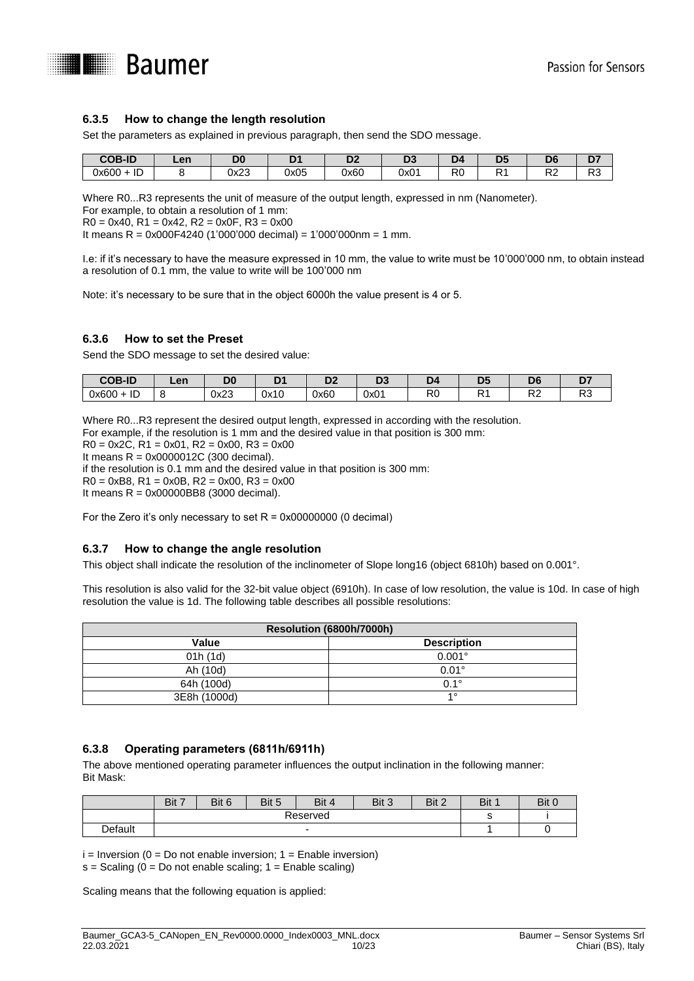

#### <span id="page-9-0"></span>**6.3.5 How to change the length resolution**

Set the parameters as explained in previous paragraph, then send the SDO message.

| <b>COB-ID</b>                    | Len | D <sub>0</sub> | -    | ~~<br>◡ | DC.<br>w         |           | n,<br>レ、 | $\sim$<br>υr         | ~-<br>י             |
|----------------------------------|-----|----------------|------|---------|------------------|-----------|----------|----------------------|---------------------|
| $\mathbf{F}$<br>0x600<br>ாட<br>- |     | 0x23           | 0x05 | 0x60    | 0x0 <sup>-</sup> | Dr.<br>٦L | ∍.       | $\Gamma$<br>. .<br>∼ | D <sub>c</sub><br>w |

Where R0...R3 represents the unit of measure of the output length, expressed in nm (Nanometer).

For example, to obtain a resolution of 1 mm:

 $R0 = 0x40$ ,  $R1 = 0x42$ ,  $R2 = 0x0F$ ,  $R3 = 0x00$ 

It means R = 0x000F4240 (1'000'000 decimal) = 1'000'000nm = 1 mm.

I.e: if it's necessary to have the measure expressed in 10 mm, the value to write must be 10'000'000 nm, to obtain instead a resolution of 0.1 mm, the value to write will be 100'000 nm

Note: it's necessary to be sure that in the object 6000h the value present is 4 or 5.

#### <span id="page-9-1"></span>**6.3.6 How to set the Preset**

Send the SDO message to set the desired value:

| <b>COB-ID</b>        | Len | D <sub>0</sub> |      | ne<br>יש | r.<br>ັ້ | . ID      | DE<br>◡ | D <sub>6</sub> | - |
|----------------------|-----|----------------|------|----------|----------|-----------|---------|----------------|---|
| IГ<br>$0x600 +$<br>ᄔ |     | ハックタ<br>◡▵▵    | 0x10 | 0x60     | 0x01     | DC.<br>٦U | ∍.<br>. | Dr.<br>∼       | w |

Where R0...R3 represent the desired output length, expressed in according with the resolution.

For example, if the resolution is 1 mm and the desired value in that position is 300 mm:

 $R0 = 0x2C$ ,  $R1 = 0x01$ ,  $R2 = 0x00$ ,  $R3 = 0x00$ 

It means R = 0x0000012C (300 decimal).

if the resolution is 0.1 mm and the desired value in that position is 300 mm:

 $R0 = 0 \times B8$ ,  $R1 = 0 \times 0B$ ,  $R2 = 0 \times 00$ ,  $R3 = 0 \times 00$ 

It means R = 0x00000BB8 (3000 decimal).

For the Zero it's only necessary to set  $R = 0x00000000$  (0 decimal)

#### <span id="page-9-2"></span>**6.3.7 How to change the angle resolution**

This object shall indicate the resolution of the inclinometer of Slope long16 (object 6810h) based on 0.001°.

This resolution is also valid for the 32-bit value object (6910h). In case of low resolution, the value is 10d. In case of high resolution the value is 1d. The following table describes all possible resolutions:

| Resolution (6800h/7000h) |                    |  |  |  |  |  |  |  |
|--------------------------|--------------------|--|--|--|--|--|--|--|
| Value                    | <b>Description</b> |  |  |  |  |  |  |  |
| 01h(1d)                  | $0.001^{\circ}$    |  |  |  |  |  |  |  |
| Ah (10d)                 | $0.01^{\circ}$     |  |  |  |  |  |  |  |
| 64h (100d)               | $0.1^\circ$        |  |  |  |  |  |  |  |
| 3E8h (1000d)             | 40                 |  |  |  |  |  |  |  |

#### <span id="page-9-3"></span>**6.3.8 Operating parameters (6811h/6911h)**

The above mentioned operating parameter influences the output inclination in the following manner: Bit Mask:

|         | Bit 7 | Bit 6 | Bit 5 | Bit 4 | Bit 3 | Bit 2 | Bit 1 | Bit 0 |
|---------|-------|-------|-------|-------|-------|-------|-------|-------|
|         |       |       |       |       |       |       |       |       |
| Default |       |       |       | ∼     |       |       |       |       |

 $i =$  Inversion (0 = Do not enable inversion; 1 = Enable inversion)  $s =$  Scaling (0 = Do not enable scaling; 1 = Enable scaling)

Scaling means that the following equation is applied: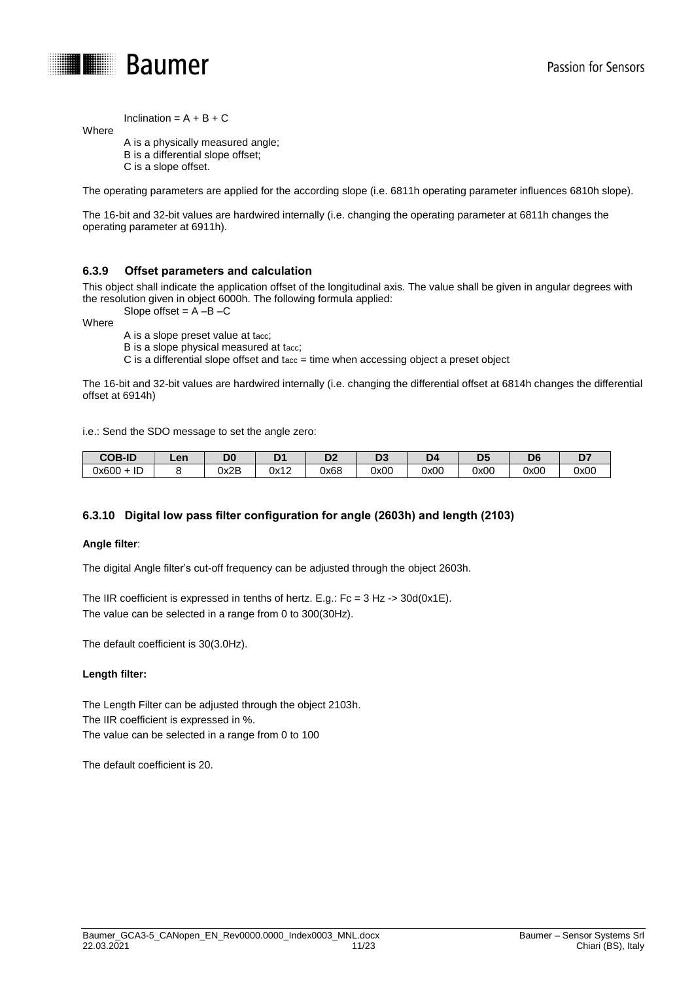

Inclination =  $A + B + C$ 

A is a physically measured angle; B is a differential slope offset; C is a slope offset.

The operating parameters are applied for the according slope (i.e. 6811h operating parameter influences 6810h slope).

The 16-bit and 32-bit values are hardwired internally (i.e. changing the operating parameter at 6811h changes the operating parameter at 6911h).

#### <span id="page-10-0"></span>**6.3.9 Offset parameters and calculation**

This object shall indicate the application offset of the longitudinal axis. The value shall be given in angular degrees with the resolution given in object 6000h. The following formula applied: Slope offset  $= A - B - C$ 

Where

Where

A is a slope preset value at tacc;

B is a slope physical measured at tacc;

 $C$  is a differential slope offset and tacc = time when accessing object a preset object

The 16-bit and 32-bit values are hardwired internally (i.e. changing the differential offset at 6814h changes the differential offset at 6914h)

i.e.: Send the SDO message to set the angle zero:

| <b>COB-ID</b>     | Len | D <sub>0</sub> | 34<br>- | ~~<br>יש | n.<br>IJ, | æ    | $\sim$<br>-- | De             | ◡    |
|-------------------|-----|----------------|---------|----------|-----------|------|--------------|----------------|------|
| . .<br>0x600<br>ᅚ |     | 0x2B           | 0x12    | 0x68     | 0x00      | 0x00 | 0x00         | 0x00<br>$\sim$ | 0x00 |

#### <span id="page-10-1"></span>**6.3.10 Digital low pass filter configuration for angle (2603h) and length (2103)**

#### **Angle filter**:

The digital Angle filter's cut-off frequency can be adjusted through the object 2603h.

The IIR coefficient is expressed in tenths of hertz. E.g.: Fc = 3 Hz -> 30d(0x1E). The value can be selected in a range from 0 to 300(30Hz).

The default coefficient is 30(3.0Hz).

#### **Length filter:**

The Length Filter can be adjusted through the object 2103h. The IIR coefficient is expressed in %. The value can be selected in a range from 0 to 100

The default coefficient is 20.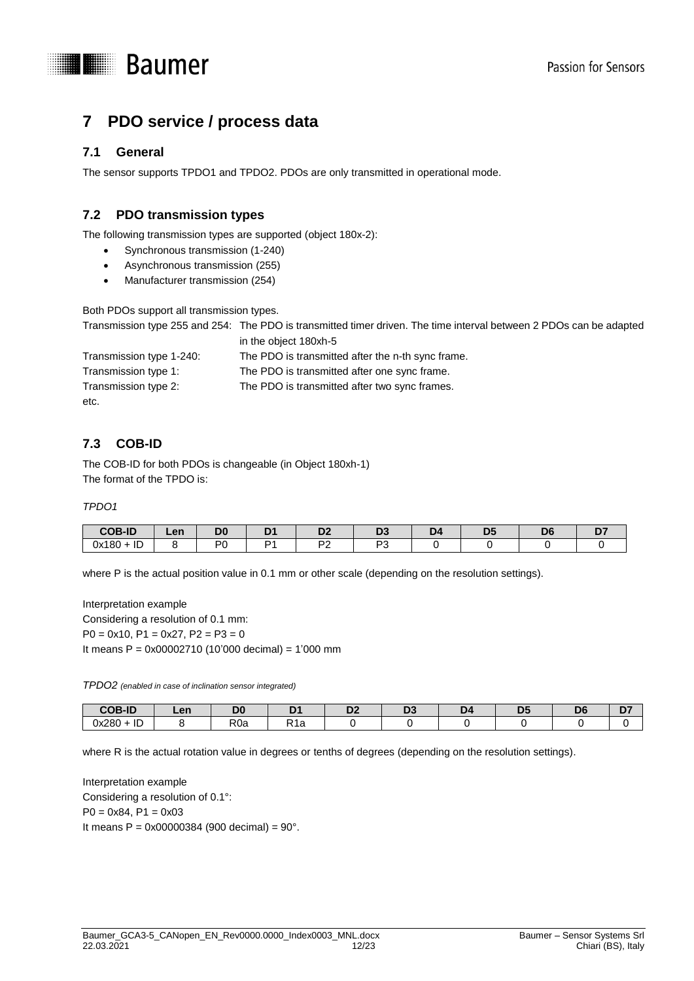



# <span id="page-11-0"></span>**7 PDO service / process data**

# <span id="page-11-1"></span>**7.1 General**

The sensor supports TPDO1 and TPDO2. PDOs are only transmitted in operational mode.

# <span id="page-11-2"></span>**7.2 PDO transmission types**

The following transmission types are supported (object 180x-2):

- Synchronous transmission (1-240)
- Asynchronous transmission (255)
- Manufacturer transmission (254)

Both PDOs support all transmission types.

Transmission type 255 and 254: The PDO is transmitted timer driven. The time interval between 2 PDOs can be adapted in the object 180xh-5

| Transmission type 1-240: | The PDO is transmitted after the n-th sync frame. |
|--------------------------|---------------------------------------------------|
| Transmission type 1:     | The PDO is transmitted after one sync frame.      |
| Transmission type 2:     | The PDO is transmitted after two sync frames.     |
| etc.                     |                                                   |

# <span id="page-11-3"></span>**7.3 COB-ID**

The COB-ID for both PDOs is changeable (in Object 180xh-1) The format of the TPDO is:

#### *TPDO1*

| <b>COB-ID</b>   | <b>A</b> n<br>--- | $\sim$<br>- - | - - | . .<br>-- |     | --<br>– ∼ | n0<br>v |  |
|-----------------|-------------------|---------------|-----|-----------|-----|-----------|---------|--|
| $+$ ID<br>0x180 |                   | DC.           |     | m,        | DC. |           |         |  |

where P is the actual position value in 0.1 mm or other scale (depending on the resolution settings).

Interpretation example Considering a resolution of 0.1 mm:  $P0 = 0x10$ ,  $P1 = 0x27$ ,  $P2 = P3 = 0$ It means P = 0x00002710 (10'000 decimal) = 1'000 mm

*TPDO2 (enabled in case of inclination sensor integrated)*

| <b>COB-ID</b>      | Len | D <sub>0</sub><br>יש | - -                           | me<br>◡▵ | $\sim$<br>υJ | − | $\mathbf{D}$<br>P, | D | -- |
|--------------------|-----|----------------------|-------------------------------|----------|--------------|---|--------------------|---|----|
| ID<br>0x280<br>. . |     | R <sub>0</sub> a     | D <sub>4</sub><br>≺1а<br>____ |          |              |   |                    |   |    |

where R is the actual rotation value in degrees or tenths of degrees (depending on the resolution settings).

Interpretation example Considering a resolution of 0.1°:  $P0 = 0x84$ ,  $P1 = 0x03$ It means  $P = 0x00000384$  (900 decimal) = 90°.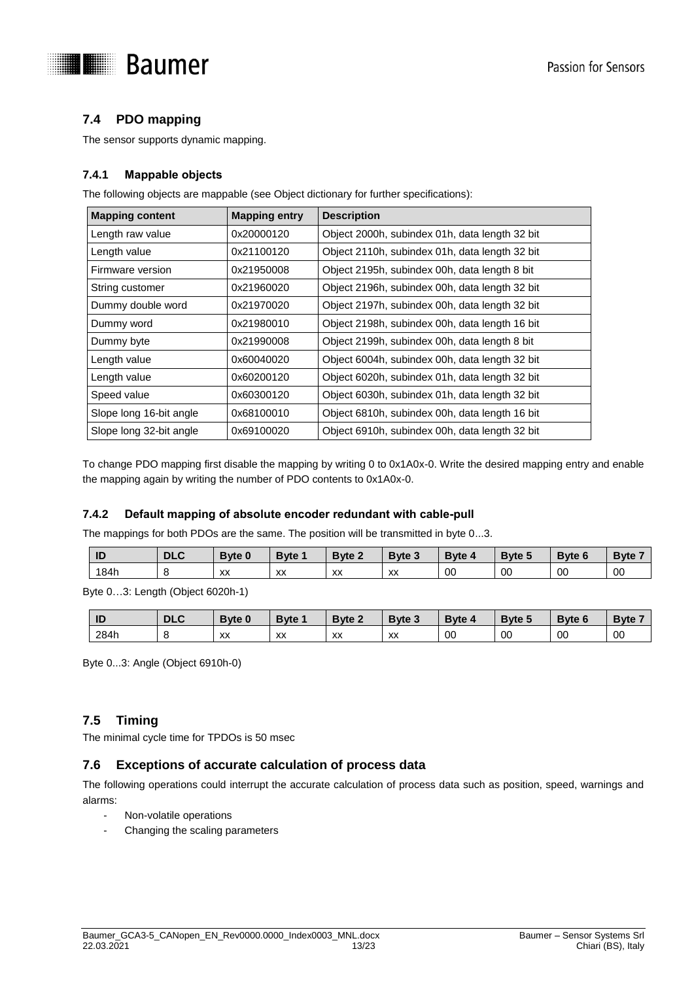

# <span id="page-12-0"></span>**7.4 PDO mapping**

The sensor supports dynamic mapping.

### <span id="page-12-1"></span>**7.4.1 Mappable objects**

The following objects are mappable (see Object dictionary for further specifications):

| <b>Mapping content</b>  | <b>Mapping entry</b> | <b>Description</b>                             |
|-------------------------|----------------------|------------------------------------------------|
| Length raw value        | 0x20000120           | Object 2000h, subindex 01h, data length 32 bit |
| Length value            | 0x21100120           | Object 2110h, subindex 01h, data length 32 bit |
| Firmware version        | 0x21950008           | Object 2195h, subindex 00h, data length 8 bit  |
| String customer         | 0x21960020           | Object 2196h, subindex 00h, data length 32 bit |
| Dummy double word       | 0x21970020           | Object 2197h, subindex 00h, data length 32 bit |
| Dummy word              | 0x21980010           | Object 2198h, subindex 00h, data length 16 bit |
| Dummy byte              | 0x21990008           | Object 2199h, subindex 00h, data length 8 bit  |
| Length value            | 0x60040020           | Object 6004h, subindex 00h, data length 32 bit |
| Length value            | 0x60200120           | Object 6020h, subindex 01h, data length 32 bit |
| Speed value             | 0x60300120           | Object 6030h, subindex 01h, data length 32 bit |
| Slope long 16-bit angle | 0x68100010           | Object 6810h, subindex 00h, data length 16 bit |
| Slope long 32-bit angle | 0x69100020           | Object 6910h, subindex 00h, data length 32 bit |

To change PDO mapping first disable the mapping by writing 0 to 0x1A0x-0. Write the desired mapping entry and enable the mapping again by writing the number of PDO contents to 0x1A0x-0.

#### <span id="page-12-2"></span>**7.4.2 Default mapping of absolute encoder redundant with cable-pull**

The mappings for both PDOs are the same. The position will be transmitted in byte 0...3.

| ID   | <b>DLC</b> | <b>Byte 0</b> | <b>B</b> vte | <b>Byte 2</b> | Byte 3 | Byte 4 | Byte 5 | <b>Byte 6</b> | Byte:   |
|------|------------|---------------|--------------|---------------|--------|--------|--------|---------------|---------|
| 184h | л.         | XX            | XX           | XX            | XX     | 00     | 00     | 00            | $_{00}$ |

Byte 0…3: Length (Object 6020h-1)

| ID   | <b>DLC</b> | <b>Byte 0</b> | Bvte                              | Byte 2 | Byte 3 | Byte 4  | <b>Byte 5</b> | <b>Byte 6</b> | $\overline{\phantom{a}}$ Byte $\overline{\phantom{a}}$ |
|------|------------|---------------|-----------------------------------|--------|--------|---------|---------------|---------------|--------------------------------------------------------|
| 284h |            | XX            | $\overline{\mathbf{v}}$<br>$\sim$ | XX     | XX     | $_{00}$ | 00            | 00            | 00                                                     |

Byte 0...3: Angle (Object 6910h-0)

# <span id="page-12-3"></span>**7.5 Timing**

<span id="page-12-4"></span>The minimal cycle time for TPDOs is 50 msec

# **7.6 Exceptions of accurate calculation of process data**

The following operations could interrupt the accurate calculation of process data such as position, speed, warnings and alarms:

- Non-volatile operations
- Changing the scaling parameters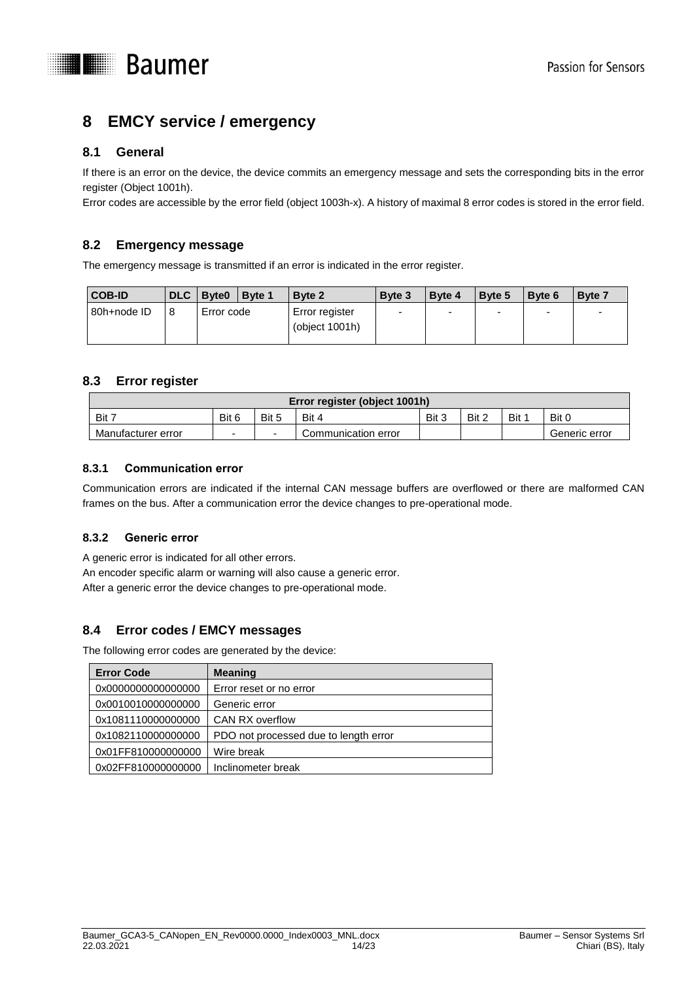

# <span id="page-13-0"></span>**8 EMCY service / emergency**

# <span id="page-13-1"></span>**8.1 General**

If there is an error on the device, the device commits an emergency message and sets the corresponding bits in the error register (Object 1001h).

Error codes are accessible by the error field (object 1003h-x). A history of maximal 8 error codes is stored in the error field.

# <span id="page-13-2"></span>**8.2 Emergency message**

The emergency message is transmitted if an error is indicated in the error register.

| <b>COB-ID</b> | DLC Byte0  | Byte 1 | Byte 2                              | Byte 3                   | Byte 4 | Byte 5 | Byte 6 | <b>Byte 7</b> |
|---------------|------------|--------|-------------------------------------|--------------------------|--------|--------|--------|---------------|
| 80h+node ID   | Error code |        | Error register<br>(object $1001h$ ) | $\overline{\phantom{0}}$ | -      |        |        |               |
|               |            |        |                                     |                          |        |        |        |               |

### <span id="page-13-3"></span>**8.3 Error register**

|                    |       |       | <b>Error register (object 1001h)</b> |       |       |     |               |
|--------------------|-------|-------|--------------------------------------|-------|-------|-----|---------------|
| Bit 7              | Bit 6 | Bit 5 | Bit 4                                | Bit 3 | Bit 2 | Bit | Bit C         |
| Manufacturer error | -     |       | Communication error                  |       |       |     | Generic error |

### <span id="page-13-4"></span>**8.3.1 Communication error**

Communication errors are indicated if the internal CAN message buffers are overflowed or there are malformed CAN frames on the bus. After a communication error the device changes to pre-operational mode.

# <span id="page-13-5"></span>**8.3.2 Generic error**

A generic error is indicated for all other errors. An encoder specific alarm or warning will also cause a generic error. After a generic error the device changes to pre-operational mode.

# <span id="page-13-6"></span>**8.4 Error codes / EMCY messages**

The following error codes are generated by the device:

| <b>Error Code</b>  | <b>Meaning</b>                        |
|--------------------|---------------------------------------|
| 0x0000000000000000 | Error reset or no error               |
| 0x0010010000000000 | Generic error                         |
| 0x1081110000000000 | CAN RX overflow                       |
| 0x1082110000000000 | PDO not processed due to length error |
| 0x01FF810000000000 | Wire break                            |
| 0x02FF810000000000 | Inclinometer break                    |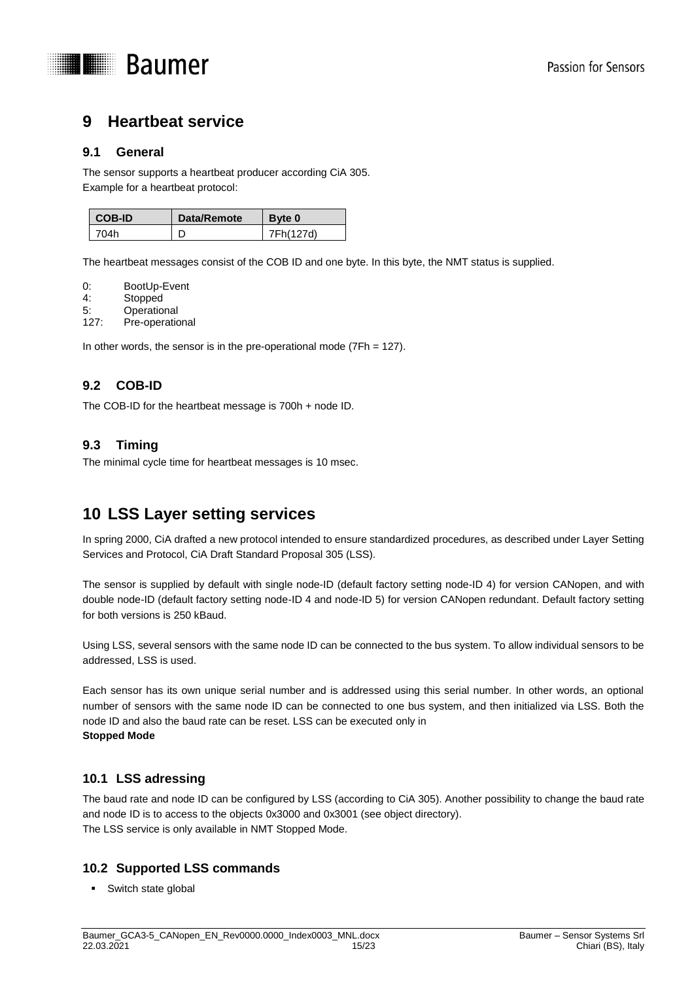

# <span id="page-14-0"></span>**9 Heartbeat service**

### <span id="page-14-1"></span>**9.1 General**

The sensor supports a heartbeat producer according CiA 305. Example for a heartbeat protocol:

| I COB-ID | Data/Remote | Byte 0    |
|----------|-------------|-----------|
| ד∩4∩     |             | 7Fh(127d) |

The heartbeat messages consist of the COB ID and one byte. In this byte, the NMT status is supplied.

- 
- 0: BootUp-Event<br>4: Stopped **Stopped**
- 5: Operational
- 127: Pre-operational

In other words, the sensor is in the pre-operational mode  $(7Fh = 127)$ .

# <span id="page-14-2"></span>**9.2 COB-ID**

The COB-ID for the heartbeat message is 700h + node ID.

# <span id="page-14-3"></span>**9.3 Timing**

The minimal cycle time for heartbeat messages is 10 msec.

# <span id="page-14-4"></span>**10 LSS Layer setting services**

In spring 2000, CiA drafted a new protocol intended to ensure standardized procedures, as described under Layer Setting Services and Protocol, CiA Draft Standard Proposal 305 (LSS).

The sensor is supplied by default with single node-ID (default factory setting node-ID 4) for version CANopen, and with double node-ID (default factory setting node-ID 4 and node-ID 5) for version CANopen redundant. Default factory setting for both versions is 250 kBaud.

Using LSS, several sensors with the same node ID can be connected to the bus system. To allow individual sensors to be addressed, LSS is used.

Each sensor has its own unique serial number and is addressed using this serial number. In other words, an optional number of sensors with the same node ID can be connected to one bus system, and then initialized via LSS. Both the node ID and also the baud rate can be reset. LSS can be executed only in **Stopped Mode**

# <span id="page-14-5"></span>**10.1 LSS adressing**

The baud rate and node ID can be configured by LSS (according to CiA 305). Another possibility to change the baud rate and node ID is to access to the objects 0x3000 and 0x3001 (see object directory). The LSS service is only available in NMT Stopped Mode.

# <span id="page-14-6"></span>**10.2 Supported LSS commands**

Switch state global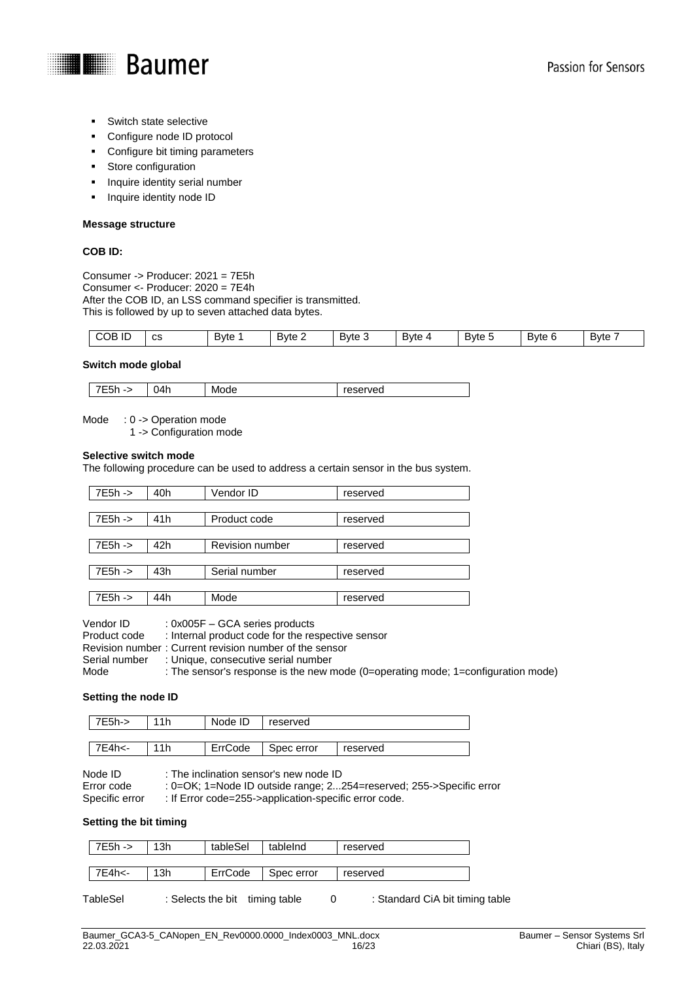

- Switch state selective
- Configure node ID protocol
- Configure bit timing parameters
- **Store configuration**
- **Inquire identity serial number**
- **Inquire identity node ID**

#### **Message structure**

#### **COB ID:**

Consumer -> Producer: 2021 = 7E5h Consumer <- Producer: 2020 = 7E4h After the COB ID, an LSS command specifier is transmitted. This is followed by up to seven attached data bytes.

| $\cdots$<br>COB<br>$\sim$<br>ΙU<br>ပဒ | -<br>Byte | Byte 2 | Bvte 3 | -<br><b>Byte</b> | -<br>Byte 5 | _<br>Byte 6 | -<br>Bvte |
|---------------------------------------|-----------|--------|--------|------------------|-------------|-------------|-----------|
|---------------------------------------|-----------|--------|--------|------------------|-------------|-------------|-----------|

#### **Switch mode global**

| )4h<br>Mode<br>. .<br>-7<br>- טוי<br>$\cdot$ | reserved |
|----------------------------------------------|----------|
|----------------------------------------------|----------|

Mode : 0 -> Operation mode

1 -> Configuration mode

#### **Selective switch mode**

The following procedure can be used to address a certain sensor in the bus system.

| 7E5h -> | 40h             | Vendor ID              | reserved |
|---------|-----------------|------------------------|----------|
|         |                 |                        |          |
| 7E5h -> | 41 <sub>h</sub> | Product code           | reserved |
|         |                 |                        |          |
| 7E5h -> | 42h             | <b>Revision number</b> | reserved |
|         |                 |                        |          |
| 7E5h -> | 43h             | Serial number          | reserved |
|         |                 |                        |          |
| 7E5h -> | 44h             | Mode                   | reserved |

Vendor ID :  $0x005F - GCA$  series products<br>Product code : Internal product code for the real : Internal product code for the respective sensor Revision number : Current revision number of the sensor Serial number : Unique, consecutive serial number Mode : The sensor's response is the new mode (0=operating mode; 1=configuration mode)

#### **Setting the node ID**

| 7E5h-> | 11h | Node ID | reserved   |          |
|--------|-----|---------|------------|----------|
|        |     |         |            |          |
| 7E4h<- | 11h | ErrCode | Spec error | reserved |

Node ID : The inclination sensor's new node ID<br>Error code : 0=OK: 1=Node ID outside range: 2... Error code : 0=OK; 1=Node ID outside range; 2...254=reserved; 255->Specific error<br>Specific error : If Error code=255->application-specific error code. : If Error code=255->application-specific error code.

#### **Setting the bit timing**

| 7E5h -> | 13h | tableSel | tableInd   | reserved |
|---------|-----|----------|------------|----------|
|         |     |          |            |          |
| 7E4h<-  | 13h | ErrCode  | Spec error | reserved |
|         |     |          |            |          |

TableSel : Selects the bit timing table 0 : Standard CiA bit timing table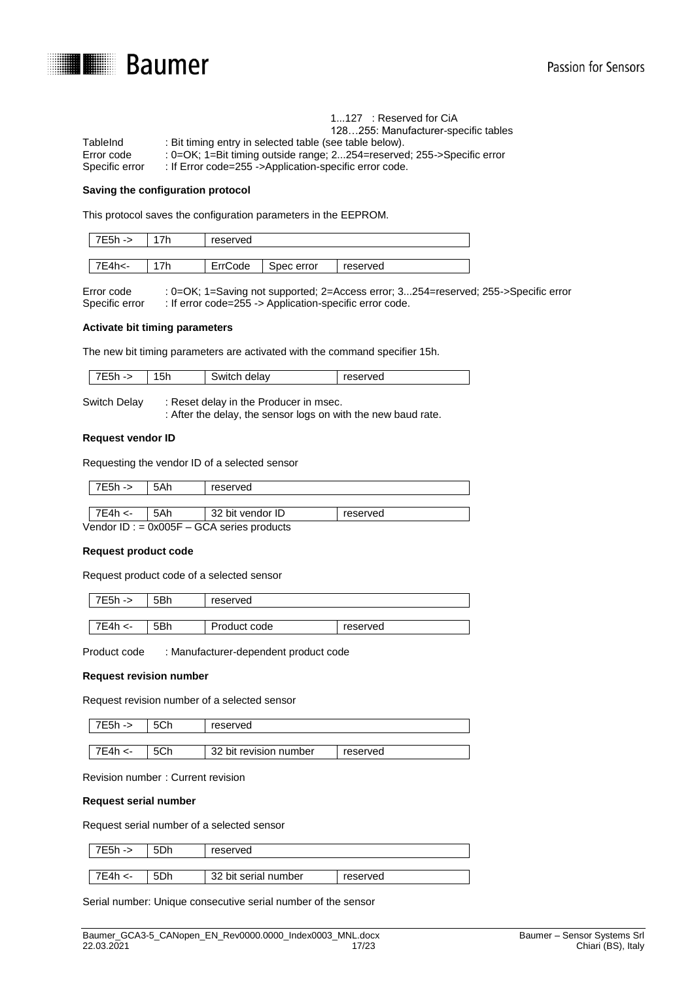

|                | $1121$ . Reserved for GIA                                                      |
|----------------|--------------------------------------------------------------------------------|
|                | 128255: Manufacturer-specific tables                                           |
| TableInd       | : Bit timing entry in selected table (see table below).                        |
| Error code     | : 0= $OK$ ; 1=Bit timing outside range; 2254=reserved; 255- $>$ Specific error |
| Specific error | : If Error code=255 ->Application-specific error code.                         |

 $1.27 \cdot$  Reserved for CiA

#### **Saving the configuration protocol**

This protocol saves the configuration parameters in the EEPROM.

| 7E5h -> | 7h | reserved |            |          |
|---------|----|----------|------------|----------|
|         |    |          |            |          |
| 7E4h<-  | 7h | ErrCode  | Spec error | reserved |

Error code : 0=OK; 1=Saving not supported; 2=Access error; 3...254=reserved; 255->Specific error Specific error : If error code=255 -> Application-specific error code.

#### **Activate bit timing parameters**

The new bit timing parameters are activated with the command specifier 15h.

| <b>SWITCI</b><br>п.<br>эπ<br>-- |  | $\overline{\phantom{0}}$<br>. . | delav<br>. | served |
|---------------------------------|--|---------------------------------|------------|--------|
|---------------------------------|--|---------------------------------|------------|--------|

| Switch Delay | Reset delay in the Producer in msec.                          |
|--------------|---------------------------------------------------------------|
|              | : After the delay, the sensor logs on with the new baud rate. |

#### **Request vendor ID**

Requesting the vendor ID of a selected sensor

| $7E5h -$                                       | 5Ah | reserved |  |  |  |  |  |  |
|------------------------------------------------|-----|----------|--|--|--|--|--|--|
|                                                |     |          |  |  |  |  |  |  |
| 7E4h <-<br>32 bit vendor ID<br>5Ah<br>reserved |     |          |  |  |  |  |  |  |
| Vendor ID : $= 0x005F - GCA$ series products   |     |          |  |  |  |  |  |  |

#### **Request product code**

Request product code of a selected sensor

| 7E5h -> | 5Bh | reserved     |          |  |  |  |  |  |
|---------|-----|--------------|----------|--|--|--|--|--|
|         |     |              |          |  |  |  |  |  |
| 7E4h <- | 5Bh | Product code | reserved |  |  |  |  |  |

Product code : Manufacturer-dependent product code

#### **Request revision number**

Request revision number of a selected sensor

| 7E5h -> | 5Ch | reserved               |          |  |  |  |  |  |
|---------|-----|------------------------|----------|--|--|--|--|--|
|         |     |                        |          |  |  |  |  |  |
| 7E4h <  | 5Ch | 32 bit revision number | reserved |  |  |  |  |  |

Revision number : Current revision

#### **Request serial number**

Request serial number of a selected sensor

| 7E5h -> | 5Dh | reserved             |          |
|---------|-----|----------------------|----------|
|         |     |                      |          |
| 7E4h <- |     | 32 bit serial number | reserved |

Serial number: Unique consecutive serial number of the sensor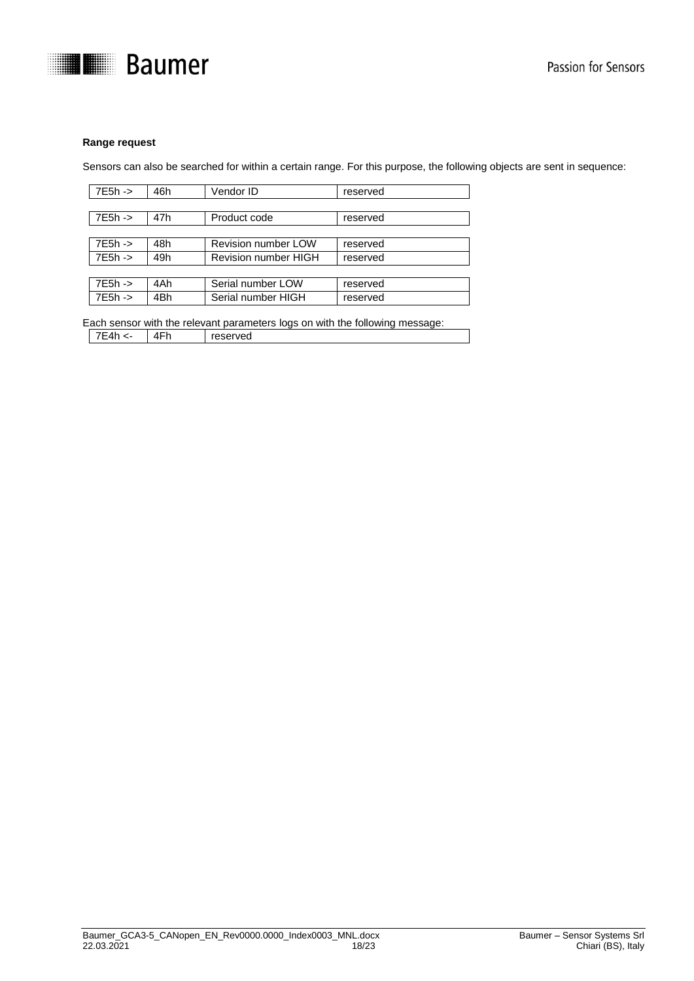

#### **Range request**

Sensors can also be searched for within a certain range. For this purpose, the following objects are sent in sequence:

| $7E5h -$ | 46h | Vendor ID            | reserved |
|----------|-----|----------------------|----------|
|          |     |                      |          |
| 7E5h ->  | 47h | Product code         | reserved |
|          |     |                      |          |
| 7E5h ->  | 48h | Revision number LOW  | reserved |
| 7E5h ->  | 49h | Revision number HIGH | reserved |
|          |     |                      |          |
| $7E5h -$ | 4Ah | Serial number LOW    | reserved |
| $7E5h -$ | 4Bh | Serial number HIGH   | reserved |

Each sensor with the relevant parameters logs on with the following message: 7E4h <- 4Fh reserved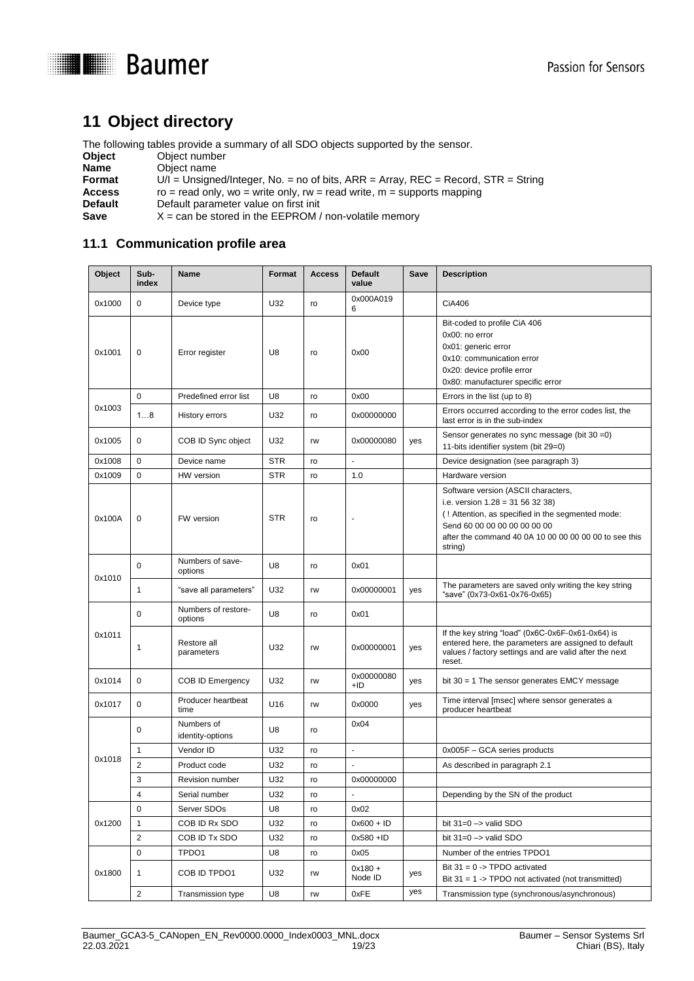



# <span id="page-18-0"></span>**11 Object directory**

The following tables provide a summary of all SDO objects supported by the sensor.

| Object  | Object number                                                                       |
|---------|-------------------------------------------------------------------------------------|
| Name    | Object name                                                                         |
| Format  | $U/I =$ Unsigned/Integer, No. = no of bits, ARR = Array, REC = Record, STR = String |
| Access  | ro = read only, wo = write only, rw = read write, $m =$ supports mapping            |
| Default | Default parameter value on first init                                               |
| Save    | $X = \text{can}$ be stored in the EEPROM / non-volatile memory                      |

# <span id="page-18-1"></span>**11.1 Communication profile area**

| Object | Sub-<br>index  | <b>Name</b>                    | Format     | <b>Access</b> | <b>Default</b><br>value | Save | <b>Description</b>                                                                                                                                                                                                             |
|--------|----------------|--------------------------------|------------|---------------|-------------------------|------|--------------------------------------------------------------------------------------------------------------------------------------------------------------------------------------------------------------------------------|
| 0x1000 | $\mathbf 0$    | Device type                    | U32        | ro            | 0x000A019<br>6          |      | CiA406                                                                                                                                                                                                                         |
| 0x1001 | $\mathbf 0$    | Error register                 | U8         | ro            | 0x00                    |      | Bit-coded to profile CiA 406<br>0x00: no error<br>0x01: generic error<br>0x10: communication error<br>0x20: device profile error<br>0x80: manufacturer specific error                                                          |
|        | $\mathbf 0$    | Predefined error list          | U8         | ro            | 0x00                    |      | Errors in the list (up to 8)                                                                                                                                                                                                   |
| 0x1003 | 18             | History errors                 | U32        | ro            | 0x00000000              |      | Errors occurred according to the error codes list, the<br>last error is in the sub-index                                                                                                                                       |
| 0x1005 | $\mathbf 0$    | COB ID Sync object             | U32        | rw            | 0x00000080              | yes  | Sensor generates no sync message (bit 30 = 0)<br>11-bits identifier system (bit 29=0)                                                                                                                                          |
| 0x1008 | $\mathbf 0$    | Device name                    | <b>STR</b> | ro            | $\overline{a}$          |      | Device designation (see paragraph 3)                                                                                                                                                                                           |
| 0x1009 | $\mathbf 0$    | HW version                     | <b>STR</b> | ro            | 1.0                     |      | Hardware version                                                                                                                                                                                                               |
| 0x100A | 0              | FW version                     | <b>STR</b> | ro            | ä,                      |      | Software version (ASCII characters,<br>i.e. version $1.28 = 31563238$<br>(! Attention, as specified in the segmented mode:<br>Send 60 00 00 00 00 00 00 00<br>after the command 40 0A 10 00 00 00 00 00 to see this<br>string) |
| 0x1010 | $\Omega$       | Numbers of save-<br>options    | U8         | ro            | 0x01                    |      |                                                                                                                                                                                                                                |
|        | 1              | "save all parameters"          | U32        | rw            | 0x00000001              | yes  | The parameters are saved only writing the key string<br>"save" (0x73-0x61-0x76-0x65)                                                                                                                                           |
|        | $\mathbf 0$    | Numbers of restore-<br>options | U8         | ro            | 0x01                    |      |                                                                                                                                                                                                                                |
| 0x1011 | 1              | Restore all<br>parameters      | U32        | rw            | 0x00000001              | yes  | If the key string "load" (0x6C-0x6F-0x61-0x64) is<br>entered here, the parameters are assigned to default<br>values / factory settings and are valid after the next<br>reset.                                                  |
| 0x1014 | $\mathbf 0$    | <b>COB ID Emergency</b>        | U32        | rw            | 0x00000080<br>$+ID$     | yes  | bit $30 = 1$ The sensor generates EMCY message                                                                                                                                                                                 |
| 0x1017 | 0              | Producer heartbeat<br>time     | U16        | rw            | 0x0000                  | yes  | Time interval [msec] where sensor generates a<br>producer heartbeat                                                                                                                                                            |
|        | 0              | Numbers of<br>identity-options | U8         | ro            | 0x04                    |      |                                                                                                                                                                                                                                |
|        | $\mathbf{1}$   | Vendor ID                      | U32        | ro            | ÷,                      |      | 0x005F - GCA series products                                                                                                                                                                                                   |
| 0x1018 | $\overline{2}$ | Product code                   | U32        | ro            | $\tilde{\phantom{a}}$   |      | As described in paragraph 2.1                                                                                                                                                                                                  |
|        | 3              | <b>Revision number</b>         | U32        | ro            | 0x00000000              |      |                                                                                                                                                                                                                                |
|        | 4              | Serial number                  | U32        | ro            |                         |      | Depending by the SN of the product                                                                                                                                                                                             |
|        | 0              | Server SDOs                    | U8         | ro            | 0x02                    |      |                                                                                                                                                                                                                                |
| 0x1200 | $\mathbf{1}$   | COB ID Rx SDO                  | U32        | ro            | $0x600 + ID$            |      | bit $31=0 \rightarrow$ valid SDO                                                                                                                                                                                               |
|        | $\overline{2}$ | COB ID Tx SDO                  | U32        | ro            | $0x580 + ID$            |      | bit $31=0 \rightarrow$ valid SDO                                                                                                                                                                                               |
|        | 0              | TPDO1                          | U8         | ro            | 0x05                    |      | Number of the entries TPDO1                                                                                                                                                                                                    |
| 0x1800 | 1              | COB ID TPDO1                   | U32        | rw            | $0x180 +$<br>Node ID    | yes  | Bit $31 = 0 \rightarrow \text{TPDO}$ activated<br>Bit $31 = 1$ -> TPDO not activated (not transmitted)                                                                                                                         |
|        | $\overline{2}$ | <b>Transmission type</b>       | U8         | rw            | 0xFE                    | yes  | Transmission type (synchronous/asynchronous)                                                                                                                                                                                   |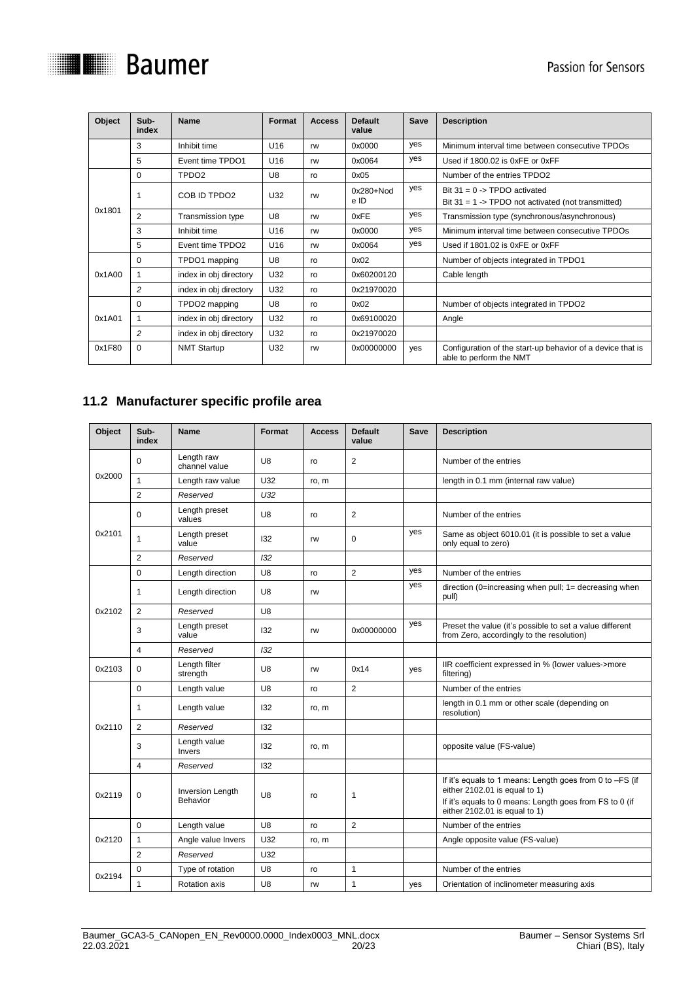

| Object | Sub-<br>index  | <b>Name</b>            | Format          | <b>Access</b> | <b>Default</b><br>value | Save | <b>Description</b>                                                                                     |
|--------|----------------|------------------------|-----------------|---------------|-------------------------|------|--------------------------------------------------------------------------------------------------------|
|        | 3              | Inhibit time           | U16             | rw            | 0x0000                  | yes  | Minimum interval time between consecutive TPDOs                                                        |
|        | 5              | Event time TPDO1       | U16             | rw            | 0x0064                  | yes  | Used if 1800.02 is 0xFE or 0xFF                                                                        |
|        | $\Omega$       | TPDO <sub>2</sub>      | U8              | ro            | 0x05                    |      | Number of the entries TPDO2                                                                            |
|        |                | COB ID TPDO2           | U32             | rw            | $0x280 + Nod$<br>e ID   | yes  | Bit $31 = 0 \rightarrow \text{TPDO}$ activated<br>Bit $31 = 1$ -> TPDO not activated (not transmitted) |
| 0x1801 | $\overline{2}$ | Transmission type      | U8              | rw            | 0xFE                    | yes  | Transmission type (synchronous/asynchronous)                                                           |
|        | 3              | Inhibit time           | U16             | rw            | 0x0000                  | yes  | Minimum interval time between consecutive TPDOs                                                        |
|        | 5              | Event time TPDO2       | U <sub>16</sub> | rw            | 0x0064                  | yes  | Used if 1801.02 is 0xFE or 0xFF                                                                        |
|        | 0              | TPDO1 mapping          | U8              | ro            | 0x02                    |      | Number of objects integrated in TPDO1                                                                  |
| 0x1A00 |                | index in obj directory | U32             | ro            | 0x60200120              |      | Cable length                                                                                           |
|        | $\overline{2}$ | index in obj directory | U32             | ro            | 0x21970020              |      |                                                                                                        |
|        | $\Omega$       | TPDO2 mapping          | U8              | ro            | 0x02                    |      | Number of objects integrated in TPDO2                                                                  |
| 0x1A01 |                | index in obj directory | U32             | ro            | 0x69100020              |      | Angle                                                                                                  |
|        | 2              | index in obj directory | U32             | ro            | 0x21970020              |      |                                                                                                        |
| 0x1F80 | $\Omega$       | <b>NMT Startup</b>     | U32             | rw            | 0x00000000              | yes  | Configuration of the start-up behavior of a device that is<br>able to perform the NMT                  |

# <span id="page-19-0"></span>**11.2 Manufacturer specific profile area**

| Object | Sub-<br>index  | <b>Name</b>                         | Format         | <b>Access</b> | <b>Default</b><br>value | <b>Save</b> | <b>Description</b>                                                                                                                                                                    |
|--------|----------------|-------------------------------------|----------------|---------------|-------------------------|-------------|---------------------------------------------------------------------------------------------------------------------------------------------------------------------------------------|
|        | $\Omega$       | Length raw<br>channel value         | U <sub>8</sub> | ro            | $\overline{2}$          |             | Number of the entries                                                                                                                                                                 |
| 0x2000 | $\mathbf{1}$   | Length raw value                    | U32            | ro, m         |                         |             | length in 0.1 mm (internal raw value)                                                                                                                                                 |
|        | 2              | Reserved                            | U32            |               |                         |             |                                                                                                                                                                                       |
|        | $\Omega$       | Length preset<br>values             | U8             | ro            | $\overline{2}$          |             | Number of the entries                                                                                                                                                                 |
| 0x2101 | 1              | Length preset<br>value              | 132            | rw            | $\Omega$                | yes         | Same as object 6010.01 (it is possible to set a value<br>only equal to zero)                                                                                                          |
|        | $\overline{2}$ | Reserved                            | 132            |               |                         |             |                                                                                                                                                                                       |
|        | $\Omega$       | Length direction                    | U8             | ro            | $\overline{2}$          | yes         | Number of the entries                                                                                                                                                                 |
|        | $\mathbf{1}$   | Length direction                    | U8             | rw            |                         | yes         | direction (0=increasing when pull; 1= decreasing when<br>pull)                                                                                                                        |
| 0x2102 | 2              | Reserved                            | U8             |               |                         |             |                                                                                                                                                                                       |
|        | 3              | Length preset<br>value              | 132            | rw            | 0x00000000              | yes         | Preset the value (it's possible to set a value different<br>from Zero, accordingly to the resolution)                                                                                 |
|        | $\overline{4}$ | Reserved                            | 132            |               |                         |             |                                                                                                                                                                                       |
| 0x2103 | $\Omega$       | Length filter<br>strength           | U8             | rw            | 0x14                    | yes         | IIR coefficient expressed in % (lower values->more<br>filtering)                                                                                                                      |
|        | $\Omega$       | Length value                        | U8             | ro            | $\overline{2}$          |             | Number of the entries                                                                                                                                                                 |
|        | 1              | Length value                        | 132            | ro, m         |                         |             | length in 0.1 mm or other scale (depending on<br>resolution)                                                                                                                          |
| 0x2110 | $\overline{2}$ | Reserved                            | 132            |               |                         |             |                                                                                                                                                                                       |
|        | 3              | Length value<br>Invers              | 132            | ro, m         |                         |             | opposite value (FS-value)                                                                                                                                                             |
|        | $\overline{4}$ | Reserved                            | 132            |               |                         |             |                                                                                                                                                                                       |
| 0x2119 | 0              | <b>Inversion Length</b><br>Behavior | U <sub>8</sub> | ro            | 1                       |             | If it's equals to 1 means: Length goes from 0 to -FS (if<br>either 2102.01 is equal to 1)<br>If it's equals to 0 means: Length goes from FS to 0 (if<br>either 2102.01 is equal to 1) |
|        | $\Omega$       | Length value                        | U8             | ro            | $\overline{2}$          |             | Number of the entries                                                                                                                                                                 |
| 0x2120 | $\mathbf{1}$   | Angle value Invers                  | U32            | ro, m         |                         |             | Angle opposite value (FS-value)                                                                                                                                                       |
|        | $\overline{2}$ | Reserved                            | U32            |               |                         |             |                                                                                                                                                                                       |
| 0x2194 | $\mathbf 0$    | Type of rotation                    | U8             | ro            | $\mathbf{1}$            |             | Number of the entries                                                                                                                                                                 |
|        | 1              | <b>Rotation axis</b>                | U8             | rw            | $\mathbf{1}$            | yes         | Orientation of inclinometer measuring axis                                                                                                                                            |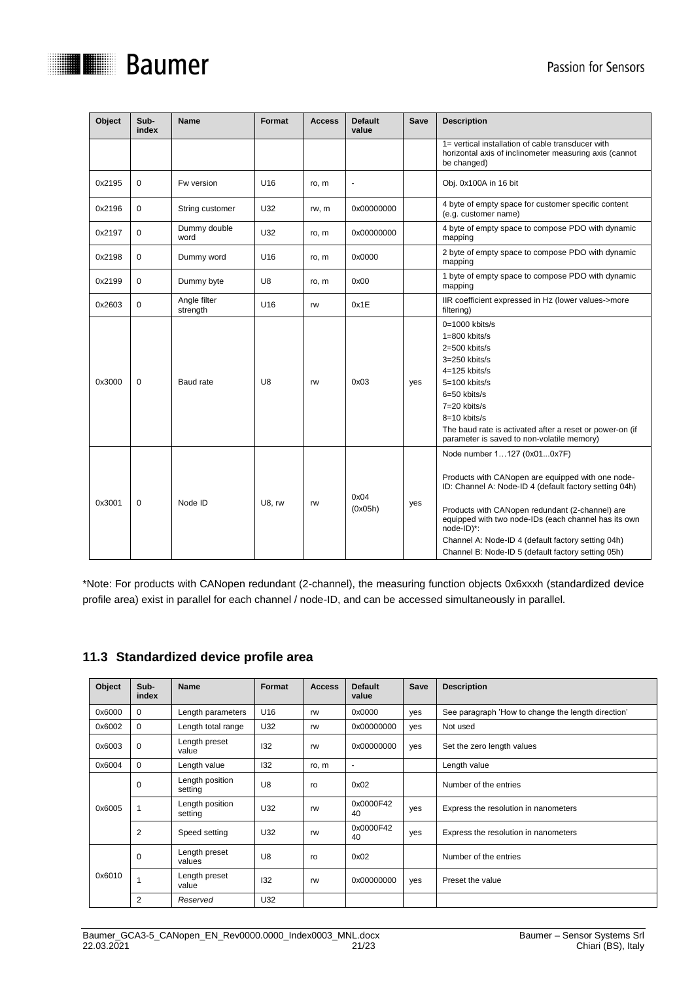

| Object | Sub-<br>index | <b>Name</b>              | Format          | <b>Access</b> | <b>Default</b><br>value | Save | <b>Description</b>                                                                                                                                                                                                                                                                                                                                                              |
|--------|---------------|--------------------------|-----------------|---------------|-------------------------|------|---------------------------------------------------------------------------------------------------------------------------------------------------------------------------------------------------------------------------------------------------------------------------------------------------------------------------------------------------------------------------------|
|        |               |                          |                 |               |                         |      | 1= vertical installation of cable transducer with<br>horizontal axis of inclinometer measuring axis (cannot<br>be changed)                                                                                                                                                                                                                                                      |
| 0x2195 | 0             | Fw version               | U16             | ro, m         |                         |      | Obj. 0x100A in 16 bit                                                                                                                                                                                                                                                                                                                                                           |
| 0x2196 | 0             | String customer          | U32             | rw, m         | 0x00000000              |      | 4 byte of empty space for customer specific content<br>(e.g. customer name)                                                                                                                                                                                                                                                                                                     |
| 0x2197 | 0             | Dummy double<br>word     | U32             | ro, m         | 0x00000000              |      | 4 byte of empty space to compose PDO with dynamic<br>mapping                                                                                                                                                                                                                                                                                                                    |
| 0x2198 | 0             | Dummy word               | U <sub>16</sub> | ro, m         | 0x0000                  |      | 2 byte of empty space to compose PDO with dynamic<br>mapping                                                                                                                                                                                                                                                                                                                    |
| 0x2199 | 0             | Dummy byte               | U8              | ro, m         | 0x00                    |      | 1 byte of empty space to compose PDO with dynamic<br>mapping                                                                                                                                                                                                                                                                                                                    |
| 0x2603 | $\Omega$      | Angle filter<br>strength | U <sub>16</sub> | rw            | 0x1E                    |      | IIR coefficient expressed in Hz (lower values->more<br>filtering)                                                                                                                                                                                                                                                                                                               |
| 0x3000 | 0             | Baud rate                | U8              | rw            | 0x03                    | yes  | $0=1000$ kbits/s<br>$1=800$ kbits/s<br>$2=500$ kbits/s<br>$3=250$ kbits/s<br>$4=125$ kbits/s<br>$5=100$ kbits/s<br>6=50 kbits/s<br>7=20 kbits/s<br>8=10 kbits/s<br>The baud rate is activated after a reset or power-on (if<br>parameter is saved to non-volatile memory)                                                                                                       |
| 0x3001 | $\mathbf 0$   | Node ID                  | U8, rw          | rw            | 0x04<br>(0x05h)         | yes  | Node number 1127 (0x010x7F)<br>Products with CANopen are equipped with one node-<br>ID: Channel A: Node-ID 4 (default factory setting 04h)<br>Products with CANopen redundant (2-channel) are<br>equipped with two node-IDs (each channel has its own<br>node-ID)*:<br>Channel A: Node-ID 4 (default factory setting 04h)<br>Channel B: Node-ID 5 (default factory setting 05h) |

\*Note: For products with CANopen redundant (2-channel), the measuring function objects 0x6xxxh (standardized device profile area) exist in parallel for each channel / node-ID, and can be accessed simultaneously in parallel.

# <span id="page-20-0"></span>**11.3 Standardized device profile area**

| Object | Sub-<br>index  | <b>Name</b>                | Format | <b>Access</b> | <b>Default</b><br>value | Save | <b>Description</b>                                 |
|--------|----------------|----------------------------|--------|---------------|-------------------------|------|----------------------------------------------------|
| 0x6000 | 0              | Length parameters          | U16    | rw            | 0x0000                  | yes  | See paragraph 'How to change the length direction' |
| 0x6002 | 0              | Length total range         | U32    | rw            | 0x00000000              | yes  | Not used                                           |
| 0x6003 | 0              | Length preset<br>value     | 132    | rw            | 0x00000000              | yes  | Set the zero length values                         |
| 0x6004 | 0              | Length value               | 132    | ro, m         | $\overline{a}$          |      | Length value                                       |
|        | 0              | Length position<br>setting | U8     | ro            | 0x02                    |      | Number of the entries                              |
| 0x6005 |                | Length position<br>setting | U32    | rw            | 0x0000F42<br>40         | yes  | Express the resolution in nanometers               |
|        | $\overline{2}$ | Speed setting              | U32    | rw            | 0x0000F42<br>40         | yes  | Express the resolution in nanometers               |
|        | $\mathbf 0$    | Length preset<br>values    | U8     | ro            | 0x02                    |      | Number of the entries                              |
| 0x6010 |                | Length preset<br>value     | 132    | rw            | 0x00000000              | yes  | Preset the value                                   |
|        | 2              | Reserved                   | U32    |               |                         |      |                                                    |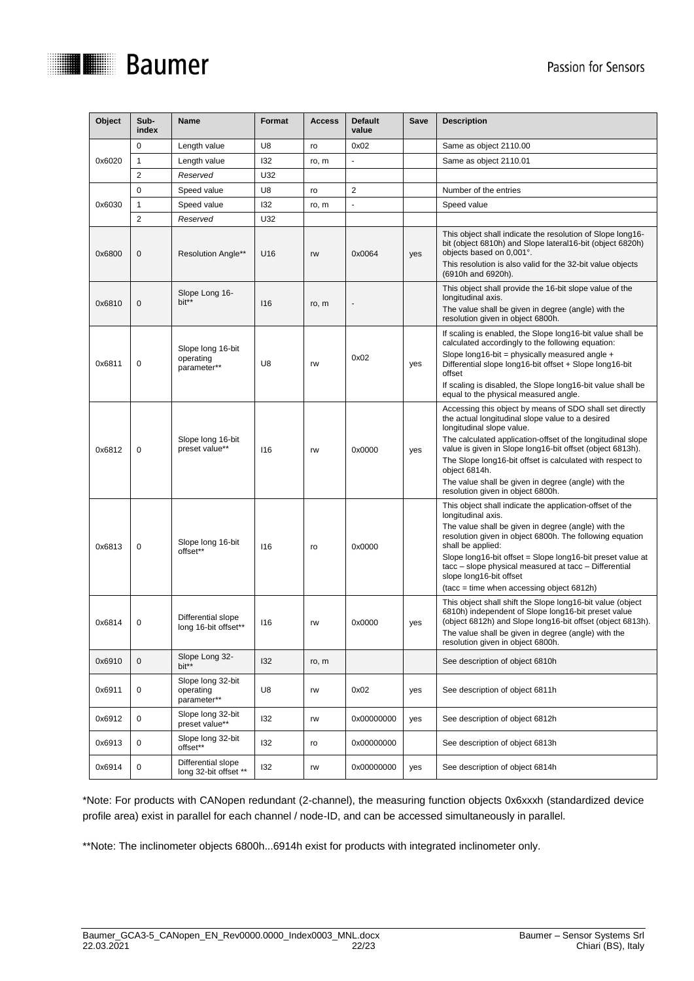

| Object | Sub-<br>index           | <b>Name</b>                                   | Format | <b>Access</b> | <b>Default</b><br>value | Save | <b>Description</b>                                                                                                                                                                                                                                                                                                                                                                                                                              |
|--------|-------------------------|-----------------------------------------------|--------|---------------|-------------------------|------|-------------------------------------------------------------------------------------------------------------------------------------------------------------------------------------------------------------------------------------------------------------------------------------------------------------------------------------------------------------------------------------------------------------------------------------------------|
|        | 0                       | Length value                                  | U8     | ro            | 0x02                    |      | Same as object 2110.00                                                                                                                                                                                                                                                                                                                                                                                                                          |
| 0x6020 | 1                       | Length value                                  | 132    | ro, m         |                         |      | Same as object 2110.01                                                                                                                                                                                                                                                                                                                                                                                                                          |
|        | $\overline{\mathbf{c}}$ | Reserved                                      | U32    |               |                         |      |                                                                                                                                                                                                                                                                                                                                                                                                                                                 |
|        | 0                       | Speed value                                   | U8     | ro            | 2                       |      | Number of the entries                                                                                                                                                                                                                                                                                                                                                                                                                           |
| 0x6030 | 1                       | Speed value                                   | 132    | ro, m         | ٠                       |      | Speed value                                                                                                                                                                                                                                                                                                                                                                                                                                     |
|        | 2                       | Reserved                                      | U32    |               |                         |      |                                                                                                                                                                                                                                                                                                                                                                                                                                                 |
| 0x6800 | 0                       | <b>Resolution Angle**</b>                     | U16    | rw            | 0x0064                  | yes  | This object shall indicate the resolution of Slope long16-<br>bit (object 6810h) and Slope lateral16-bit (object 6820h)<br>objects based on 0,001°.<br>This resolution is also valid for the 32-bit value objects                                                                                                                                                                                                                               |
| 0x6810 | 0                       | Slope Long 16-<br>bit**                       | 116    | ro, m         | $\overline{a}$          |      | (6910h and 6920h).<br>This object shall provide the 16-bit slope value of the<br>longitudinal axis.<br>The value shall be given in degree (angle) with the<br>resolution given in object 6800h.                                                                                                                                                                                                                                                 |
| 0x6811 | 0                       | Slope long 16-bit<br>operating<br>parameter** | U8     | rw            | 0x02                    | yes  | If scaling is enabled, the Slope long16-bit value shall be<br>calculated accordingly to the following equation:<br>Slope long16-bit = physically measured angle $+$<br>Differential slope long16-bit offset + Slope long16-bit<br>offset<br>If scaling is disabled, the Slope long16-bit value shall be<br>equal to the physical measured angle.                                                                                                |
| 0x6812 | 0                       | Slope long 16-bit<br>preset value**           | 116    | rw            | 0x0000                  | yes  | Accessing this object by means of SDO shall set directly<br>the actual longitudinal slope value to a desired<br>longitudinal slope value.<br>The calculated application-offset of the longitudinal slope<br>value is given in Slope long16-bit offset (object 6813h).<br>The Slope long16-bit offset is calculated with respect to<br>object 6814h.<br>The value shall be given in degree (angle) with the<br>resolution given in object 6800h. |
| 0x6813 | 0                       | Slope long 16-bit<br>offset**                 | 116    | ro            | 0x0000                  |      | This object shall indicate the application-offset of the<br>longitudinal axis.<br>The value shall be given in degree (angle) with the<br>resolution given in object 6800h. The following equation<br>shall be applied:<br>Slope long16-bit offset = Slope long16-bit preset value at<br>tacc – slope physical measured at tacc – Differential<br>slope long16-bit offset<br>(tacc = time when accessing object 6812h)                           |
| 0x6814 | 0                       | Differential slope<br>long 16-bit offset**    | 116    | rw            | 0x0000                  | yes  | This object shall shift the Slope long16-bit value (object<br>6810h) independent of Slope long16-bit preset value<br>(object 6812h) and Slope long16-bit offset (object 6813h).<br>The value shall be given in degree (angle) with the<br>resolution given in object 6800h.                                                                                                                                                                     |
| 0x6910 | 0                       | Slope Long 32-<br>bit**                       | 132    | ro, m         |                         |      | See description of object 6810h                                                                                                                                                                                                                                                                                                                                                                                                                 |
| 0x6911 | 0                       | Slope long 32-bit<br>operating<br>parameter** | U8     | rw            | 0x02                    | yes  | See description of object 6811h                                                                                                                                                                                                                                                                                                                                                                                                                 |
| 0x6912 | 0                       | Slope long 32-bit<br>preset value**           | 132    | rw            | 0x00000000              | yes  | See description of object 6812h                                                                                                                                                                                                                                                                                                                                                                                                                 |
| 0x6913 | 0                       | Slope long 32-bit<br>offset**                 | 132    | ro            | 0x00000000              |      | See description of object 6813h                                                                                                                                                                                                                                                                                                                                                                                                                 |
| 0x6914 | $\pmb{0}$               | Differential slope<br>long 32-bit offset **   | 132    | rw            | 0x00000000              | yes  | See description of object 6814h                                                                                                                                                                                                                                                                                                                                                                                                                 |

\*Note: For products with CANopen redundant (2-channel), the measuring function objects 0x6xxxh (standardized device profile area) exist in parallel for each channel / node-ID, and can be accessed simultaneously in parallel.

\*\*Note: The inclinometer objects 6800h...6914h exist for products with integrated inclinometer only.